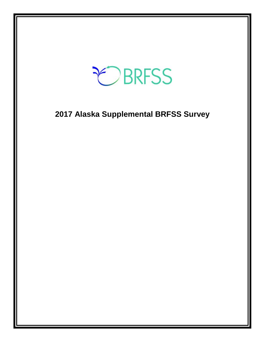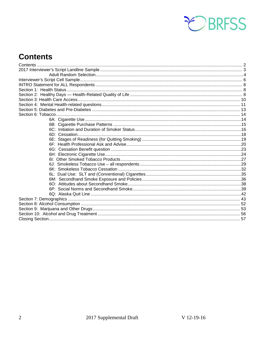

# <span id="page-1-0"></span>**Contents**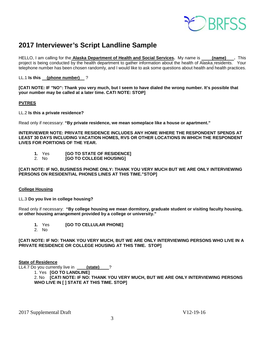

# <span id="page-2-0"></span>**2017 Interviewer's Script Landline Sample**

HELLO, I am calling for the **Alaska Department of Health and Social Services.** My name is **(name) .** This project is being conducted by the health department to gather information about the health of Alaska residents. Your telephone number has been chosen randomly, and I would like to ask some questions about health and health practices.

LL.1 **Is this (phone number)** ?

**[CATI NOTE: IF "NO": Thank you very much, but I seem to have dialed the wrong number. It's possible that your number may be called at a later time. CATI NOTE: STOP]**

#### **PVTRES**

LL.2 **Is this a private residence?**

Read only if necessary: **"By private residence, we mean someplace like a house or apartment."**

**INTERVIEWER NOTE: PRIVATE RESIDENCE INCLUDES ANY HOME WHERE THE RESPONDENT SPENDS AT LEAST 30 DAYS INCLUDING VACATION HOMES, RVS OR OTHER LOCATIONS IN WHICH THE RESPONDENT LIVES FOR PORTIONS OF THE YEAR.** 

- **1.** Yes **[GO TO STATE OF RESIDENCE]**
- 2. No **[GO TO COLLEGE HOUSING]**

**[CATI NOTE: IF NO, BUSINESS PHONE ONLY: THANK YOU VERY MUCH BUT WE ARE ONLY INTERVIEWING PERSONS ON RESIDENTIAL PHONES LINES AT THIS TIME."STOP]**

#### **College Housing**

LL.3 **Do you live in college housing?** 

Read only if necessary: **"By college housing we mean dormitory, graduate student or visiting faculty housing, or other housing arrangement provided by a college or university."**

- **1.** Yes **[GO TO CELLULAR PHONE]**
- 2. No

**[CATI NOTE: IF NO: THANK YOU VERY MUCH, BUT WE ARE ONLY INTERVIEWING PERSONS WHO LIVE IN A PRIVATE RESIDENCE OR COLLEGE HOUSING AT THIS TIME. STOP]** 

#### **State of Residence**

LL4.7 Do you currently live in \_\_\_\_\_**(state)** \_\_\_?

1. Yes **[GO TO LANDLINE]**

2. No **[CATI NOTE: IF NO: THANK YOU VERY MUCH, BUT WE ARE ONLY INTERVIEWING PERSONS WHO LIVE IN [ ] STATE AT THIS TIME. STOP]**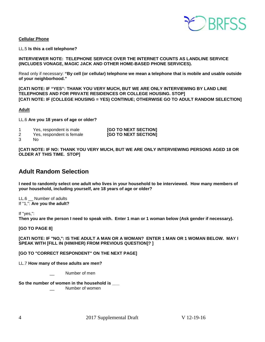

#### **Cellular Phone**

LL.5 **Is this a cell telephone?**

#### **INTERVIEWER NOTE: TELEPHONE SERVICE OVER THE INTERNET COUNTS AS LANDLINE SERVICE (INCLUDES VONAGE, MAGIC JACK AND OTHER HOME-BASED PHONE SERVICES).**

Read only if necessary: **"By cell (or cellular) telephone we mean a telephone that is mobile and usable outside of your neighborhood."** 

**[CATI NOTE: IF "YES": THANK YOU VERY MUCH, BUT WE ARE ONLY INTERVIEWING BY LAND LINE TELEPHONES AND FOR PRIVATE RESIDENCES OR COLLEGE HOUSING. STOP] [CATI NOTE: IF (COLLEGE HOUSING = YES) CONTINUE; OTHERWISE GO TO ADULT RANDOM SELECTION]**

#### **Adult**

LL.6 **Are you 18 years of age or older?** 

| Yes, respondent is male  | [GO TO NEXT SECTION]        |
|--------------------------|-----------------------------|
| Voo roopondent in female | <b>ICO TO NEVT CECTIONS</b> |

2 Yes, respondent is female **[GO TO NEXT SECTION]**

3 No

**[CATI NOTE: IF NO: THANK YOU VERY MUCH, BUT WE ARE ONLY INTERVIEWING PERSONS AGED 18 OR OLDER AT THIS TIME. STOP]**

### <span id="page-3-0"></span>**Adult Random Selection**

**I need to randomly select one adult who lives in your household to be interviewed. How many members of your household, including yourself, are 18 years of age or older?**

LL.6 \_\_ Number of adults If "1,": **Are you the adult?**

If "yes,":

**Then you are the person I need to speak with. Enter 1 man or 1 woman below (Ask gender if necessary).**

**[GO TO PAGE 8]**

**[CATI NOTE: IF "NO,": IS THE ADULT A MAN OR A WOMAN? ENTER 1 MAN OR 1 WOMAN BELOW. MAY I SPEAK WITH [FILL IN (HIM/HER) FROM PREVIOUS QUESTION]? ]** 

**[GO TO "CORRECT RESPONDENT" ON THE NEXT PAGE]**

LL.7 **How many of these adults are men?**

Number of men

**So the number of women in the household is \_\_\_**

Number of women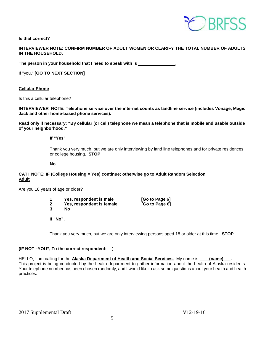

**Is that correct?**

#### **INTERVIEWER NOTE: CONFIRM NUMBER OF ADULT WOMEN OR CLARIFY THE TOTAL NUMBER OF ADULTS IN THE HOUSEHOLD.**

The person in your household that I need to speak with is \_\_\_\_\_

If "you," **[GO TO NEXT SECTION]**

#### **Cellular Phone**

Is this a cellular telephone?

**INTERVIEWER NOTE: Telephone service over the internet counts as landline service (includes Vonage, Magic Jack and other home-based phone services).**

**Read only if necessary: "By cellular (or cell) telephone we mean a telephone that is mobile and usable outside of your neighborhood."** 

**If "Yes"**

Thank you very much, but we are only interviewing by land line telephones and for private residences or college housing. **STOP**

**No**

#### **CATI NOTE: IF (College Housing = Yes) continue; otherwise go to Adult Random Selection Adult**

Are you 18 years of age or older?

| Yes, respondent is male   | [Go to Page 6] |
|---------------------------|----------------|
| Yes, respondent is female | [Go to Page 6] |
| Nο                        |                |

**If "No",**

Thank you very much, but we are only interviewing persons aged 18 or older at this time. **STOP** 

#### **(IF NOT "YOU", To the correct respondent: )**

HELLO, I am calling for the Alaska Department of Health and Social Services. My name is (name) This project is being conducted by the health department to gather information about the health of Alaska residents. Your telephone number has been chosen randomly, and I would like to ask some questions about your health and health practices.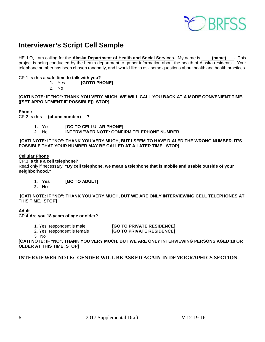

# <span id="page-5-0"></span>**Interviewer's Script Cell Sample**

HELLO, I am calling for the **Alaska Department of Health and Social Services.** My name is **(name) .** This project is being conducted by the health department to gather information about the health of Alaska residents. Your telephone number has been chosen randomly, and I would like to ask some questions about health and health practices.

# CP.1 **Is this a safe time to talk with you?**

**1.** Yes **[GOTO PHONE]**

2. No

**[CATI NOTE: IF "NO": THANK YOU VERY MUCH. WE WILL CALL YOU BACK AT A MORE CONVENIENT TIME. ([SET APPOINTMENT IF POSSIBLE]) STOP]**

#### **Phone**

CP.2 **Is this (phone number) ?** 

- **1.** Yes **[GO TO CELLULAR PHONE]**<br>2. No **INTERVIEWER NOTE: CONE**
- **2.** No **INTERVIEWER NOTE: CONFIRM TELEPHONE NUMBER**

**[CATI NOTE: IF "NO": THANK YOU VERY MUCH, BUT I SEEM TO HAVE DIALED THE WRONG NUMBER. IT'S POSSIBLE THAT YOUR NUMBER MAY BE CALLED AT A LATER TIME. STOP]** 

#### **Cellular Phone**

CP.3 **Is this a cell telephone?**

Read only if necessary: **"By cell telephone, we mean a telephone that is mobile and usable outside of your neighborhood."** 

- 1. **Yes [GO TO ADULT]**
- **2. No**

**[CATI NOTE: IF "NO": THANK YOU VERY MUCH, BUT WE ARE ONLY INTERVIEWING CELL TELEPHONES AT THIS TIME. STOP]** 

#### **Adult**

CP.4 **Are you 18 years of age or older?** 

- 1. Yes, respondent is male **[GO TO PRIVATE RESIDENCE]**
- 2. Yes, respondent is female [**GO TO PRIVATE RESIDENCE]**

3 No

**[CATI NOTE: IF "NO", THANK YOU VERY MUCH, BUT WE ARE ONLY INTERVIEWING PERSONS AGED 18 OR OLDER AT THIS TIME. STOP]** 

#### **INTERVIEWER NOTE: GENDER WILL BE ASKED AGAIN IN DEMOGRAPHICS SECTION.**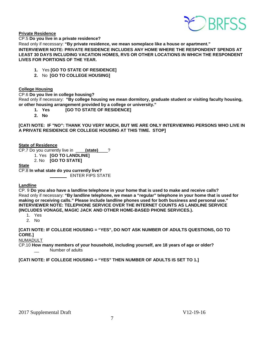

**Private Residence** 

CP.5 **Do you live in a private residence?**

Read only if necessary: **"By private residence, we mean someplace like a house or apartment."**

**INTERVIEWER NOTE: PRIVATE RESIDENCE INCLUDES ANY HOME WHERE THE RESPONDENT SPENDS AT LEAST 30 DAYS INCLUDING VACATION HOMES, RVS OR OTHER LOCATIONS IN WHICH THE RESPONDENT LIVES FOR PORTIONS OF THE YEAR.** 

- **1.** Yes **[GO TO STATE OF RESIDENCE]**
- **2.** No **[GO TO COLLEGE HOUSING]**

#### **College Housing**

CP.6 **Do you live in college housing?**

Read only if necessary: **"By college housing we mean dormitory, graduate student or visiting faculty housing, or other housing arrangement provided by a college or university."**

- **1. Yes [GO TO STATE OF RESIDENCE]**
- **2. No**

**[CATI NOTE: IF "NO": THANK YOU VERY MUCH, BUT WE ARE ONLY INTERVIEWING PERSONS WHO LIVE IN A PRIVATE RESIDENCE OR COLLEGE HOUSING AT THIS TIME. STOP]** 

#### **State of Residence**

CP.7 Do you currently live in \_\_\_\_**(state)**\_\_\_\_?

- 1. Yes **[GO TO LANDLINE]**
	- 2. No **[GO TO STATE]**

#### **State**

CP.8 **In what state do you currently live? ENTER FIPS STATE** 

#### **Landline**

CP. 9 **Do you also have a landline telephone in your home that is used to make and receive calls?**  Read only if necessary: **"By landline telephone, we mean a "regular" telephone in your home that is used for making or receiving calls." Please include landline phones used for both business and personal use." INTERVIEWER NOTE: TELEPHONE SERVICE OVER THE INTERNET COUNTS AS LANDLINE SERVICE (INCLUDES VONAGE, MAGIC JACK AND OTHER HOME-BASED PHONE SERVICES.).** 

- 1. Yes
- 2. No

**[CATI NOTE: IF COLLEGE HOUSING = "YES", DO NOT ASK NUMBER OF ADULTS QUESTIONS, GO TO CORE.]**

NUMADULT

CP.10 **How many members of your household, including yourself, are 18 years of age or older?** Number of adults

**[CATI NOTE: IF COLLEGE HOUSING = "YES" THEN NUMBER OF ADULTS IS SET TO 1.]**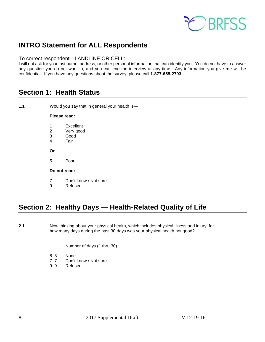

# <span id="page-7-0"></span>**INTRO Statement for ALL Respondents**

#### To correct respondent—LANDLINE OR CELL:

I will not ask for your last name, address, or other personal information that can identify you. You do not have to answer any question you do not want to, and you can end the interview at any time. Any information you give me will be confidential. If you have any questions about the survey, please call **1-877-655-2793**

## <span id="page-7-1"></span>**Section 1: Health Status**

**1.1** Would you say that in general your health is—

#### **Please read:**

- 1 Excellent<br>2 Very good
- Very good
- 3 Good
- 4 Fair
- **Or**
- 5 Poor

#### **Do not read:**

- 7 Don't know / Not sure
- 9 Refused

# <span id="page-7-2"></span>**Section 2: Healthy Days — Health-Related Quality of Life**

**2.1** Now thinking about your physical health, which includes physical illness and injury, for how many days during the past 30 days was your physical health not good?

- $\angle$   $\angle$  Number of days (1 thru 30)
- 8 8 None
- 7 7 Don't know / Not sure<br>9 9 Refused
- **Refused**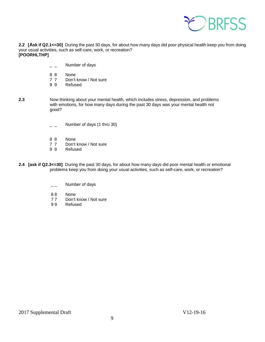

**2.2 [Ask if Q2.1<=30]** During the past 30 days, for about how many days did poor physical health keep you from doing your usual activities, such as self-care, work, or recreation? **[POORHLTHP]** 

- $\overline{\phantom{a}}$   $\overline{\phantom{a}}$  Number of days
- 8 8 None
- 7 7 Don't know / Not sure<br>9 9 Refused
- **Refused**
- **2.3** Now thinking about your mental health, which includes stress, depression, and problems with emotions, for how many days during the past 30 days was your mental health not good?
	- $\overline{a}$  Number of days (1 thru 30)
	- 8 8 None<br>7 7 Don't
	- Don't know / Not sure
	- 9 9 Refused
- **2.4 [ask if Q2.3<=30]** During the past 30 days, for about how many days did poor mental health or emotional problems keep you from doing your usual activities, such as self-care, work, or recreation?
	- $\overline{\phantom{a}}$  Number of days
	- 88 None
	- 77 Don't know / Not sure<br>99 Refused
	- **Refused**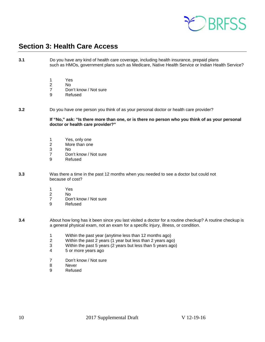

## <span id="page-9-0"></span>**Section 3: Health Care Access**

**3.1** Do you have any kind of health care coverage, including health insurance, prepaid plans such as HMOs, government plans such as Medicare, Native Health Service or Indian Health Service?

- 1 Yes
- 2 No
- 7 Don't know / Not sure<br>9 Refused
- **Refused**

#### **3.2** Do you have one person you think of as your personal doctor or health care provider?

**If "No," ask: "Is there more than one, or is there no person who you think of as your personal doctor or health care provider?"**

- 1 Yes, only one
- 2 More than one
- 3 No<br>7 Dor
- Don't know / Not sure
- 9 Refused
- **3.3** Was there a time in the past 12 months when you needed to see a doctor but could not because of cost?
	- 1 Yes<br>2 No
	- 2 No<br>7 Dor
	- Don't know / Not sure
	- 9 Refused

**3.4** About how long has it been since you last visited a doctor for a routine checkup? A routine checkup is a general physical exam, not an exam for a specific injury, illness, or condition.

- 1 Within the past year (anytime less than 12 months ago)
- 2 Within the past 2 years (1 year but less than 2 years ago)
- 3 Within the past 5 years (2 years but less than 5 years ago)
- 4 5 or more years ago
- 7 Don't know / Not sure
- 8 Never<br>9 Refuse
- **Refused**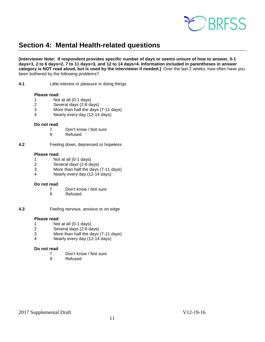

# <span id="page-10-0"></span>**Section 4: Mental Health-related questions**

**[Interviewer Note: If respondent provides specific number of days or seems unsure of how to answer, 0-1 days=1, 2 to 6 days=2, 7 to 11 days=3, and 12 to 14 days=4. Information included in parentheses in answer category is NOT read aloud, but is used by the interviewer if needed.]** Over the last 2 weeks, how often have you been bothered by the following problems?

**4.1** Little interest or pleasure in doing things

#### **Please read:**

- 1 Not at all (0-1 days)<br>2 Several days (2-6 da
- 2 Several days (2-6 days)<br>3 More than half the days
- 3 More than half the days  $(7-11 \text{ days})$ <br>4 Nearly every day  $(12-14 \text{ days})$
- Nearly every day (12-14 days)

#### **Do not read**

- 7 Don't know / Not sure
- 9 Refused

**4.2** Feeling down, depressed or hopeless

#### **Please read:**

- 1 Not at all (0-1 days)
- 2 Several days (2-6 days)
- More than half the days (7-11 days)
- 4 Nearly every day (12-14 days)

#### **Do not read**

- 7 Don't know / Not sure<br>9 Refused
- **Refused**
- **4.3** Feeling nervous, anxious or on edge

# **Please read:**<br>1 Not

- 1 Not at all (0-1 days)<br>2 Several days (2-6 days)
- Several days (2-6 days)
- 3 More than half the days (7-11 days)
- 4 Nearly every day (12-14 days)

# **Do not read**

- 7 Don't know / Not sure<br>9 Refused
- **Refused**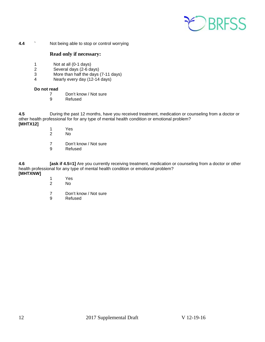

**4.4 ••** Not being able to stop or control worrying

#### **Read only if necessary:**

- 1 Not at all (0-1 days)<br>2 Several days (2-6 days)
- Several days (2-6 days)
- 3 More than half the days  $(7-11 \text{ days})$ <br>4 Nearly every day  $(12-14 \text{ days})$
- Nearly every day (12-14 days)

#### **Do not read**

- 7 Don't know / Not sure
- 9 Refused

**4.5** During the past 12 months, have you received treatment, medication or counseling from a doctor or other health professional for for any type of mental health condition or emotional problem? **[MHTX12]**

- - 1 Yes No.
	- 7 Don't know / Not sure
	- 9 Refused

**4.6 [ask if 4.5=1]** Are you currently receiving treatment, medication or counseling from a doctor or other health professional for any type of mental health condition or emotional problem?

#### **[MHTXNW]**

- 1 Yes<br>2 No
- No.
- 7 Don't know / Not sure<br>9 Refused
- **Refused**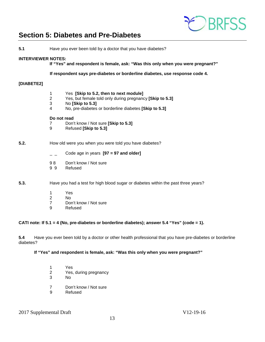

## <span id="page-12-0"></span>**Section 5: Diabetes and Pre-Diabetes**

| 5.1                       | Have you ever been told by a doctor that you have diabetes? |                                                                                                                                                                                                                                                 |
|---------------------------|-------------------------------------------------------------|-------------------------------------------------------------------------------------------------------------------------------------------------------------------------------------------------------------------------------------------------|
| <b>INTERVIEWER NOTES:</b> |                                                             | If "Yes" and respondent is female, ask: "Was this only when you were pregnant?"                                                                                                                                                                 |
|                           |                                                             | If respondent says pre-diabetes or borderline diabetes, use response code 4.                                                                                                                                                                    |
| [DIABETE2]                |                                                             |                                                                                                                                                                                                                                                 |
|                           | 1<br>$\overline{2}$<br>3<br>4<br>Do not read<br>7<br>9      | Yes [Skip to 5.2, then to next module]<br>Yes, but female told only during pregnancy [Skip to 5.3]<br>No [Skip to 5.3]<br>No, pre-diabetes or borderline diabetes [Skip to 5.3]<br>Don't know / Not sure [Skip to 5.3]<br>Refused [Skip to 5.3] |
| 5.2.                      |                                                             | How old were you when you were told you have diabetes?                                                                                                                                                                                          |
|                           |                                                             | Code age in years $[97 = 97$ and older]                                                                                                                                                                                                         |
|                           | 98<br>99                                                    | Don't know / Not sure<br>Refused                                                                                                                                                                                                                |

#### **5.3.** Have you had a test for high blood sugar or diabetes within the past three years?

- 1 Yes<br>2 No
- 2 No<br>7 Dor
- 7 Don't know / Not sure<br>9 Refused
- **Refused**

#### **CATI note: If 5.1 = 4 (No, pre-diabetes or borderline diabetes); answer 5.4 "Yes" (code = 1).**

**5.4** Have you ever been told by a doctor or other health professional that you have pre-diabetes or borderline diabetes?

#### **If "Yes" and respondent is female, ask: "Was this only when you were pregnant?"**

- 1 Yes 2 Yes, during pregnancy<br>3 No No.
- 7 Don't know / Not sure<br>9 Refused
- **Refused**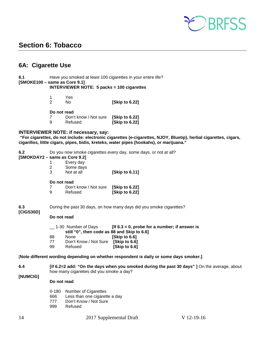

### <span id="page-13-0"></span>**Section 6: Tobacco**

### <span id="page-13-1"></span>**6A: Cigarette Use**

#### **6.1** Have you smoked at least 100 cigarettes in your entire life? **[SMOKE100 – same as Core 9.1] INTERVIEWER NOTE: 5 packs = 100 cigarettes**

| Yes. |                |
|------|----------------|
| No.  | [Skip to 6.22] |

#### **Do not read**

| _ _ _ _ _ _ _ _ _ _ _ |                       |                |
|-----------------------|-----------------------|----------------|
|                       | Don't know / Not sure | [Skip to 6.22] |
| 9                     | Refused               | [Skip to 6.22] |

#### **INTERVIEWER NOTE: if necessary, say:**

**"For cigarettes, do not include: electronic cigarettes (e-cigarettes, NJOY, Bluetip), herbal cigarettes, cigars, cigarillos, little cigars, pipes, bidis, kreteks, water pipes (hookahs), or marijuana."**

**6.2** Do you now smoke cigarettes every day, some days, or not at all?

# **[SMOKDAY2 – same as Core 9.2]**

- 1 Every day<br>2 Some days
- Some days<br>Not at all

3 Not at all **[Skip to 6.11]** 

#### **Do not read**

|   | Don't know / Not sure | [Skip to 6.22] |
|---|-----------------------|----------------|
| 9 | Refused               | [Skip to 6.22] |

#### **6.3** During the past 30 days, on how many days did you smoke cigarettes? **[CIGS30D]**

#### **Do not read**

\_\_ 1-30 Number of Days **[If 6.3 = 0, probe for a number; if answer is still "0", then code as 88 and Skip to 6.6]**  88 None **[Skip to 6.6]**  77 Don't Know / Not Sure **[Skip to 6.6]** 

**[Skip to 6.6]** 

#### [**Note different wording depending on whether respondent is daily or some days smoker.]**

**6.4 [if 6.2=2 add: "On the days when you smoked during the past 30 days" ]** On the average, about how many cigarettes did you smoke a day? **[NUMCIG]**

#### **Do not read**

- 0-180 Number of Cigarettes
- 666 Less than one cigarette a day<br>777 Don't Know / Not Sure
- Don't Know / Not Sure
- 999 Refused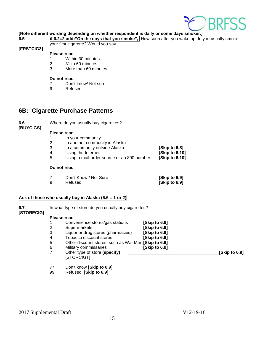

#### **[Note different wording depending on whether respondent is daily or some days smoker.]**

**6.5 if 6.2=2 add:"On the days that you smoke",** How soon after you wake up do you usually smoke your first cigarette? Would you say

#### **[FRSTCIG3]**

#### **Please read**

- 1 Within 30 minutes
- 2 31 to 60 minutes
- 3 More than 60 minutes

# **Do not read**<br>7 Don'

- 7 Don't know/ Not sure<br>9 Refused
- **Refused**

### <span id="page-14-0"></span>**6B: Cigarette Purchase Patterns**

**6.6** Where do you usually buy cigarettes? **[BUYCIGS]**

#### **Please read**

- 
- 1 In your community<br>2 In another commun
- 2 In another community in Alaska<br>3 In a community outside Alaska In a community outside Alaska **[Skip to 6.8]**<br>Using the Internet **[Skip to 6.10]**
- 
- 4 Using the Internet **[Skip to 6.10]**  Using a mail-order source or an 800 number

#### **Do not read**

|   | Don't Know / Not Sure | [Skip to 6.9] |
|---|-----------------------|---------------|
| 9 | Refused               | [Skip to 6.9] |

#### **Ask of those who usually buy in Alaska (6.6 = 1 or 2)**

| 6.7<br>[STORECIG] | In what type of store do you usually buy cigarettes? |                                                              |               |               |  |  |
|-------------------|------------------------------------------------------|--------------------------------------------------------------|---------------|---------------|--|--|
|                   |                                                      | Please read                                                  |               |               |  |  |
|                   |                                                      | Convenience stores/gas stations                              | [Skip to 6.9] |               |  |  |
|                   | 2                                                    | Supermarkets                                                 | [Skip to 6.9] |               |  |  |
|                   | 3                                                    | Liquor or drug stores (pharmacies)                           | [Skip to 6.9] |               |  |  |
|                   | 4                                                    | Tobacco discount stores                                      | [Skip to 6.9] |               |  |  |
|                   | 5                                                    | Other discount stores, such as Wal-Mart [Skip to 6.9]        |               |               |  |  |
|                   | 6                                                    | Military commissaries                                        | [Skip to 6.9] |               |  |  |
|                   | 7                                                    | Other type of store (specify)                                |               | [Skip to 6.9] |  |  |
|                   |                                                      | [STORCIGT]                                                   |               |               |  |  |
|                   | 77                                                   | $D_{\alpha\alpha}$ know $D_{\alpha\alpha}$ is to $\alpha$ of |               |               |  |  |

77 Don't know **[Skip to 6.9]** 99 Refused **[Skip to 6.9]**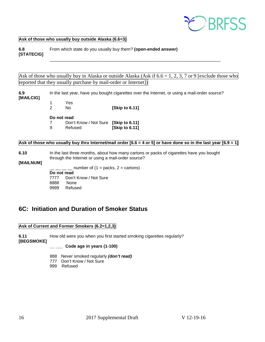

#### **Ask of those who usually buy outside Alaska (6.6=3)**

**6.8** From which state do you usually buy them? **(open-ended answer) [STATECIG]** \_\_\_\_\_\_\_\_\_\_\_\_\_\_\_\_\_\_\_\_\_\_\_\_\_\_\_\_\_\_\_\_\_\_\_\_\_\_\_\_\_\_\_\_\_\_\_\_\_\_\_\_\_\_\_\_\_\_\_\_\_\_\_\_\_\_\_\_\_\_\_

Ask of those who usually buy in Alaska or outside Alaska (Ask if 6.6 = 1, 2, 3, 7 or 9 [exclude those who reported that they usually purchase by mail-order or Internet])

**6.9** In the last year, have you bought cigarettes over the Internet, or using a mail-order source? **[MAILCIG]**

- -

1 Yes 2 No **[Skip to 6.11]**

#### **Do not read**

7 Don't Know / Not Sure **[Skip to 6.11] [Skip to 6.11]** 

#### Ask of those who usually buy thru Internet/mail order [6.6 = 4 or 5] or have done so in the last year [6.9 = 1]

#### **6.10** In the last three months, about how many cartons or packs of cigarettes have you bought through the Internet or using a mail-order source?

#### **[MAILNUM]**

- number of  $(1 =$  packs,  $2 =$  cartons)

**Do not read**

7777 Don't Know / Not Sure<br>8888 None 8888 None<br>9999 Refuse Refused

### <span id="page-15-0"></span>**6C: Initiation and Duration of Smoker Status**

#### **Ask of Current and Former Smokers (6.2=1,2,3)**

**6.11** How old were you when you first started smoking cigarettes regularly?

**[BEGSMOKE]** 

**\_\_ \_\_\_ Code age in years (1-100)**

- 888 Never smoked regularly *(don't read)*
- 777 Don't Know / Not Sure
- 999 Refused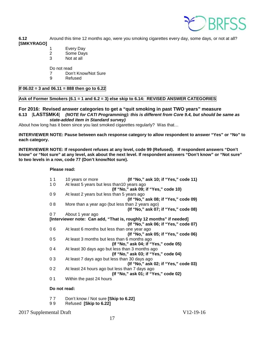

**6.12** Around this time 12 months ago, were you smoking cigarettes every day, some days, or not at all? **[SMKYRAGO]** 

- 1 Every Day
- 2 Some Days
- 3 Not at all

Do not read

- 7 Don't Know/Not Sure<br>9 Refused
- **Refused**

#### **If 06.02 = 3 and 06.11 = 888 then go to 6.22**

#### **Ask of Former Smokers (6.1 = 1 and 6.2 = 3) else skip to 6.14: REVISED ANSWER CATEGORIES**

#### **For 2016: Revised answer categories to get a "quit smoking in past TWO years" measure 6.13** [**LASTSMK4**] *(NOTE for CATI Programming): this is different from Core 9.4, but should be same as state-added item in Standard survey)*

About how long has it been since you last smoked cigarettes regularly? Was that...

**INTERVIEWER NOTE: Pause between each response category to allow respondent to answer "Yes" or "No" to each category.**

**INTERVIEWER NOTE: If respondent refuses at any level, code 99 (Refused). If respondent answers "Don't know" or "Not sure" at any level, ask about the next level. If respondent answers "Don't know" or "Not sure" to two levels in a row, code 77 (Don't know/Not sure).**

#### **Please read:**

| 11             | 10 years or more                                                    | (If "No," ask 10; if "Yes," code 11) |
|----------------|---------------------------------------------------------------------|--------------------------------------|
| 10             | At least 5 years but less than 10 years ago                         |                                      |
|                | (If "No," ask 09; if "Yes," code 10)                                |                                      |
| 09             | At least 2 years but less than 5 years ago                          |                                      |
|                |                                                                     | (If "No," ask 08; if "Yes," code 09) |
| 08             | More than a year ago (but less than 2 years ago)                    |                                      |
|                |                                                                     | (If "No," ask 07; if "Yes," code 08) |
| 07             | About 1 year ago                                                    |                                      |
|                | [Interviewer note: Can add, "That is, roughly 12 months" if needed] |                                      |
|                |                                                                     | (If "No," ask 06; if "Yes," code 07) |
| 06             | At least 6 months but less than one year ago                        |                                      |
|                |                                                                     | (If "No," ask 05; if "Yes," code 06) |
| 05             | At least 3 months but less than 6 months ago                        |                                      |
|                | (If "No," ask 04; if "Yes," code 05)                                |                                      |
| 04             | At least 30 days ago but less than 3 months ago                     |                                      |
|                | (If "No," ask 03; if "Yes," code 04)                                |                                      |
| 03             | At least 7 days ago but less than 30 days ago                       |                                      |
|                |                                                                     | (If "No," ask 02; if "Yes," code 03) |
| 0 <sub>2</sub> | At least 24 hours ago but less than 7 days ago                      |                                      |
|                | (If "No," ask 01; if "Yes," code 02)                                |                                      |
| 0 <sub>1</sub> | Within the past 24 hours                                            |                                      |
|                |                                                                     |                                      |

**Do not read:**

- 7 7 Don't know / Not sure **[Skip to 6.22]**
- 9 9 Refused **[Skip to 6.22]**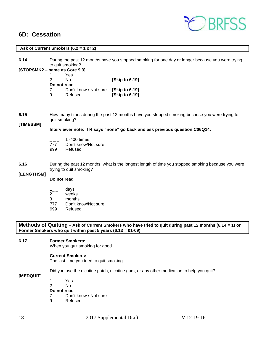### <span id="page-17-0"></span>**6D: Cessation**



| Ask of Current Smokers (6.2 = 1 or 2) |                                                                                                                                                                                           |  |  |  |
|---------------------------------------|-------------------------------------------------------------------------------------------------------------------------------------------------------------------------------------------|--|--|--|
| 6.14                                  | During the past 12 months have you stopped smoking for one day or longer because you were trying<br>to quit smoking?<br>[STOPSMK2 - same as Core 9.3]<br>Yes<br>1                         |  |  |  |
|                                       | 2<br>No.<br>[Skip to 6.19]<br>Do not read<br>Don't know / Not sure<br>[Skip to 6.19]<br>7<br>[Skip to 6.19]<br>9<br>Refused                                                               |  |  |  |
| 6.15<br>[TIMESSM]                     | How many times during the past 12 months have you stopped smoking because you were trying to<br>quit smoking?                                                                             |  |  |  |
|                                       | Interviewer note: If R says "none" go back and ask previous question C06Q14.                                                                                                              |  |  |  |
|                                       | 1 -400 times<br>Don't know/Not sure<br>777<br>Refused<br>999                                                                                                                              |  |  |  |
| 6.16                                  | During the past 12 months, what is the longest length of time you stopped smoking because you were<br>trying to quit smoking?                                                             |  |  |  |
| [LENGTHSM]                            | Do not read                                                                                                                                                                               |  |  |  |
|                                       | days<br>$1\degree$<br>$2^{2}$<br>weeks<br>$3$ <sub>--</sub><br>months<br>Don't know/Not sure<br>777<br>999<br>Refused                                                                     |  |  |  |
|                                       | Methods of Quitting - Ask of Current Smokers who have tried to quit during past 12 months (6.14 = 1) or<br>Former Smokers who quit within past 5 years $(6.13 = 01-09)$                   |  |  |  |
| 6.17                                  | <b>Former Smokers:</b><br>When you quit smoking for good                                                                                                                                  |  |  |  |
|                                       | <b>Current Smokers:</b><br>The last time you tried to quit smoking                                                                                                                        |  |  |  |
| [MEDQUIT]                             | Did you use the nicotine patch, nicotine gum, or any other medication to help you quit?<br>1<br>Yes<br>$\overline{2}$<br>No.<br>Do not read<br>7<br>Don't know / Not sure<br>9<br>Refused |  |  |  |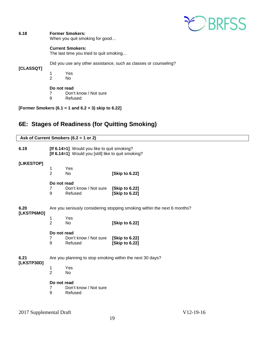

#### **6.18 Former Smokers:**

When you quit smoking for good…

#### **Current Smokers:**

The last time you tried to quit smoking…

Did you use any other assistance, such as classes or counseling?

#### **[CLASSQT]**

1 Yes No

# **Do not read**<br> **7** Don'

7 Don't know / Not sure<br>9 Refused

**Refused** 

**[Former Smokers (6.1 = 1 and 6.2 = 3) skip to 6.22]** 

### <span id="page-18-0"></span>**6E: Stages of Readiness (for Quitting Smoking)**

| Ask of Current Smokers $(6.2 = 1$ or 2) |                                                                                                    |                                                           |                                  |  |
|-----------------------------------------|----------------------------------------------------------------------------------------------------|-----------------------------------------------------------|----------------------------------|--|
| 6.19                                    | [If 6.14>1] Would you like to quit smoking?<br>[If 6.14=1] Would you [still] like to quit smoking? |                                                           |                                  |  |
| [LIKESTOP]                              | 1<br>$\overline{2}$                                                                                | Yes<br><b>No</b>                                          | [Skip to 6.22]                   |  |
|                                         | Do not read<br>$\overline{7}$<br>9                                                                 | Don't know / Not sure<br>Refused                          | [Skip to 6.22]<br>[Skip to 6.22] |  |
| 6.20<br>[LKSTP6MO]                      | Are you seriously considering stopping smoking within the next 6 months?<br>Yes<br>1               |                                                           |                                  |  |
|                                         | $\overline{2}$                                                                                     | <b>No</b>                                                 | [Skip to 6.22]                   |  |
|                                         | Do not read<br>$\overline{7}$<br>9                                                                 | Don't know / Not sure<br>Refused                          | [Skip to 6.22]<br>[Skip to 6.22] |  |
| 6.21<br>[LKSTP30D]                      |                                                                                                    | Are you planning to stop smoking within the next 30 days? |                                  |  |
|                                         | 1<br>$\overline{2}$                                                                                | Yes<br><b>No</b>                                          |                                  |  |
|                                         | Do not read<br>7<br>9                                                                              | Don't know / Not sure<br>Refused                          |                                  |  |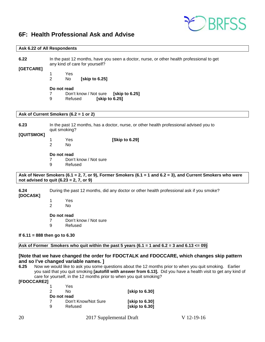

### <span id="page-19-0"></span>**6F: Health Professional Ask and Advise**

#### **Ask 6.22 of All Respondents**

**6.22** In the past 12 months, have you seen a doctor, nurse, or other health professional to get any kind of care for yourself?

**[GETCARE]**

1 Yes

**[skip to 6.25]** 

**Do not read**

- 7 Don't know / Not sure **[skip to 6.25]**
- 9 Refused **[skip to 6.25]**

#### **Ask of Current Smokers (6.2 = 1 or 2)**

**6.23** In the past 12 months, has a doctor, nurse, or other health professional advised you to quit smoking? **[QUITSMOK]** 1 Yes **[Skip to 6.29]**  2 No

#### **Do not read**

7 Don't know / Not sure

9 Refused

#### **Ask of Never Smokers (6.1 = 2, 7, or 9), Former Smokers (6.1 = 1 and 6.2 = 3), and Current Smokers who were not advised to quit (6.23 = 2, 7, or 9)**

**6.24** During the past 12 months, did any doctor or other health professional ask if you smoke?

#### **[DOCASK]**

1 Yes 2 No

# **Do not read**<br>7 Don'

- Don't know / Not sure
- 9 Refused

#### **If 6.11 = 888 then go to 6.30**

#### **Ask of Former Smokers who quit within the past 5 years (6.1 = 1 and 6.2 = 3 and 6.13 <= 09)**

## **[Note that we have changed the order for FDOCTALK and FDOCCARE, which changes skip pattern and so I've changed variable names. ]**

**6.25** Now we would like to ask you some questions about the 12 months prior to when you quit smoking. Earlier you said that you quit smoking **[autofill with answer from 6.13].** Did you have a health visit to get any kind of care for yourself, in the 12 months prior to when you quit smoking?

**[FDOCCARE2]** 

| 1 | Yes                 |                |
|---|---------------------|----------------|
| 2 | Nο                  | [skip to 6.30] |
|   | Do not read         |                |
|   | Don't Know/Not Sure | [skip to 6.30] |
| 9 | Refused             | [skip to 6.30] |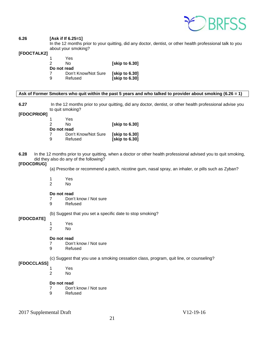

#### **6.26 [Ask if If 6.25=1]**

In the 12 months prior to your quitting, did any doctor, dentist, or other health professional talk to you about your smoking?

#### **[FDOCTALK2]**

| [skip to 6.30]        |
|-----------------------|
|                       |
| <b>Solution</b> 6.301 |
| [skip to 6.30]        |
|                       |

#### **Ask of Former Smokers who quit within the past 5 years and who talked to provider about smoking (6.26 = 1)**

**6.27** In the 12 months prior to your quitting, did any doctor, dentist, or other health professional advise you to quit smoking?

#### **[FDOCPRIOR]**

|             | Yes                 |                |
|-------------|---------------------|----------------|
| 2           | N٥                  | [skip to 6.30] |
| Do not read |                     |                |
|             | Don't Know/Not Sure | [skip to 6.30] |
| -9          | Refused             | [skip to 6.30] |

**6.28** In the 12 months prior to your quitting, when a doctor or other health professional advised you to quit smoking, did they also do any of the following?

#### **[FDOCDRUG]**

(a) Prescribe or recommend a patch, nicotine gum, nasal spray, an inhaler, or pills such as Zyban?

- 
- 1 Yes No.

#### **Do not read**

- 7 Don't know / Not sure
- 9 Refused

(b) Suggest that you set a specific date to stop smoking?

#### **[FDOCDATE]**

- 1 Yes
- 2 No

#### **Do not read**

- 7 Don't know / Not sure
- 9 Refused

(c) Suggest that you use a smoking cessation class, program, quit line, or counseling?

### **[FDOCCLASS]**

- 1 Yes
- 2 No

#### **Do not read**

- 7 Don't know / Not sure
- 9 Refused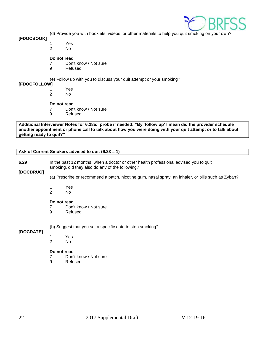

(d) Provide you with booklets, videos, or other materials to help you quit smoking on your own?

#### **[FDOCBOOK]**

- 1 Yes
	- $No$

#### **Do not read**

- 7 Don't know / Not sure
- 9 Refused

(e) Follow up with you to discuss your quit attempt or your smoking?

#### **[FDOCFOLLOW]**

- 1 Yes 2 No
- 

# **Do not read**<br>7 Don'

- Don't know / Not sure
- 9 Refused

**Additional Interviewer Notes for 6.28e: probe if needed: "By 'follow up' I mean did the provider schedule another appointment or phone call to talk about how you were doing with your quit attempt or to talk about getting ready to quit?"**

**Ask of Current Smokers advised to quit (6.23 = 1)**

**6.29** In the past 12 months, when a doctor or other health professional advised you to quit smoking, did they also do any of the following?

#### **[DOCDRUG]**

(a) Prescribe or recommend a patch, nicotine gum, nasal spray, an inhaler, or pills such as Zyban?

- 1 Yes
- 2 No

#### **Do not read**

- 7 Don't know / Not sure
- 9 Refused

(b) Suggest that you set a specific date to stop smoking?

#### **[DOCDATE]**

- 1 Yes
	- No.

#### **Do not read**

- 7 Don't know / Not sure<br>9 Refused
- **Refused**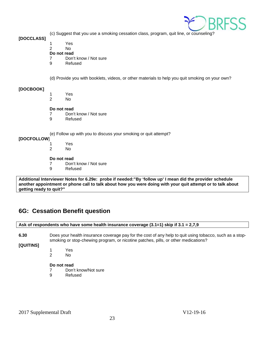

(c) Suggest that you use a smoking cessation class, program, quit line, or counseling?

**[DOCCLASS]**

1 Yes

### 2 No

**Do not read**

- 7 Don't know / Not sure
- 9 Refused

(d) Provide you with booklets, videos, or other materials to help you quit smoking on your own?

#### **[DOCBOOK]**

- 1 Yes
- 2 No

#### **Do not read**

7 Don't know / Not sure

9 Refused

(e) Follow up with you to discuss your smoking or quit attempt?

#### **[DOCFOLLOW**]

1 Yes

2 No

# **Do not read**<br>7 Don'

- 7 Don't know / Not sure<br>9 Refused
- **Refused**

**Additional Interviewer Notes for 6.29e: probe if needed:"By 'follow up' I mean did the provider schedule another appointment or phone call to talk about how you were doing with your quit attempt or to talk about getting ready to quit?"**

### <span id="page-22-0"></span>**6G: Cessation Benefit question**

#### **Ask of respondents who have some health insurance coverage (3.1=1) skip if 3.1 = 2,7,9**

**6.30** Does your health insurance coverage pay for the cost of any help to quit using tobacco, such as a stopsmoking or stop-chewing program, or nicotine patches, pills, or other medications?

#### **[QUITINS]**

- 1 Yes
- 2 No

#### **Do not read**

- 7 Don't know/Not sure
- 9 Refused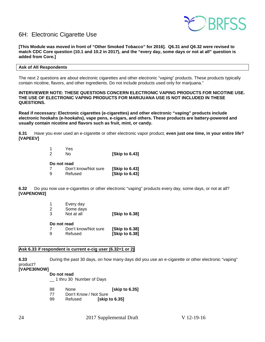

### <span id="page-23-0"></span>6H: Electronic Cigarette Use

**[This Module was moved in front of "Other Smoked Tobacco" for 2016]. Q6.31 and Q6.32 were revised to match CDC Core question (10.1 and 10.2 in 2017), and the "every day, some days or not at all" question is added from Core.]**

#### **Ask of All Respondents**

The next 2 questions are about electronic cigarettes and other electronic "vaping" products. These products typically contain nicotine, flavors, and other ingredients. Do not include products used only for marijuana."

#### **INTERVIEWER NOTE: THESE QUESTIONS CONCERN ELECTRONIC VAPING PRODUCTS FOR NICOTINE USE. THE USE OF ELECTRONIC VAPING PRODUCTS FOR MARIJUANA USE IS NOT INCLUDED IN THESE QUESTIONS.**

**Read if necessary: Electronic cigarettes (e-cigarettes) and other electronic "vaping" products include electronic hookahs (e-hookahs), vape pens, e-cigars, and others. These products are battery-powered and usually contain nicotine and flavors such as fruit, mint, or candy.** 

**6.31** Have you ever used an e-cigarette or other electronic vapor product, **even just one time, in your entire life? [VAPEEV]**

| 2 | Yes<br>N٥           | [Skip to 6.43]       |  |
|---|---------------------|----------------------|--|
|   | Do not read         |                      |  |
|   | Don't know/Not sure | <b>Skip to 6.431</b> |  |
| 9 | Refused             | [Skip to 6.43]       |  |

**6.32** Do you now use e-cigarettes or other electronic "vaping" products every day, some days, or not at all? **[VAPENOW2]** 

| Every day<br>-1<br>Some days<br>2<br>Not at all<br>3 |             | <b>Skip to 6.381</b> |
|------------------------------------------------------|-------------|----------------------|
|                                                      | Do not read |                      |

| PV IIVL IVUM |                     |                       |  |  |
|--------------|---------------------|-----------------------|--|--|
| 7            | Don't know/Not sure | [Skip to 6.38]        |  |  |
| 9            | Refused             | <b>ISkip to 6.381</b> |  |  |

#### **Ask 6.33 if respondent is current e-cig user (6.32=1 or 2)**

**6.33** During the past 30 days, on how many days did you use an e-cigarette or other electronic "vaping" product?

#### **[VAPE30NOW]**

#### **Do not read**

\_\_ 1 thru 30 Number of Days

- 88 None **[skip to 6.35]**
- 77 Don't Know / Not Sure<br>99 Refused **Skip**
- **[skip to 6.35]**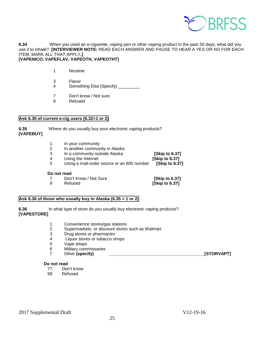

**6.34** When you used an e-cigarette, vaping pen or other vaping product in the past 30 days, what did you use it to inhale? **[INTERVIEWER NOTE:** READ EACH ANSWER AND PAUSE TO HEAR A YES OR NO FOR EACH ITEM. MARK ALL THAT APPLY**.] [VAPENICO, VAPEFLAV, VAPEOTH, VAPEOTHT]**

- 1 Nicotine
- 3 Flavor
- 4 Something Else (Specify)
- 7 Don't know / Not sure
- 9 Refused

#### **Ask 6.35 of current e-cig users (6.32=1 or 2)**

**6.35** Where do you usually buy your electronic vaping products? **[VAPEBUY]**

- 1 In your community
- 2 In another community in Alaska
- 3 In a community outside Alaska **[Skip to 6.37]**
- 
- 4 Using the Internet **[Skip to 6.37]**

**[Skip to 6.37]** 

5 Using a mail-order source or an 800 number **[Skip to 6.37]** 

#### **Do not read**

- 7 Don't Know / Not Sure **[Skip to 6.37]**
	-

#### **Ask 6.36 of those who usually buy in Alaska (6.35 = 1 or 2)**

**6.36** In what type of store do you usually buy electronic vaping products? **[VAPESTORE]**

- 1 Convenience stores/gas stations
- 2 Supermarkets or discount stores such as Walmart
- 3 Drug stores or pharmacies<br>4 Ultiquor stores or tobacco sh
- Liquor stores or tobacco shops
- 5 Vape shops<br>6 Military com
- 6 Military commissaries<br>7 Other (specify)
- 7 Other **(specify) \_\_\_\_\_\_\_\_\_\_\_\_\_\_\_\_\_\_\_\_\_\_\_\_\_\_\_\_\_\_\_\_\_\_\_\_\_\_\_\_[STORVAPT]**

- **Do not read**<br>77 Dor Don't know
	- 99 Refused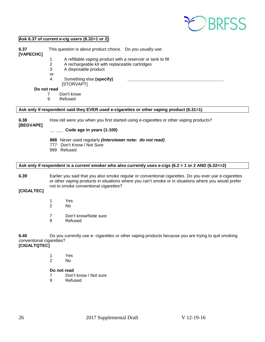

#### **Ask 6.37 of current e-cig users (6.32=1 or 2)**

**6.37** This question is about product choice. Do you usually use: **[VAPECHC]**

- 1 A refillable vaping product with a reservoir or tank to fill
- 2 A rechargeable kit with replaceable cartridges<br>3 A disposable product
- A disposable product

or

- 4 Something else (specify)
- [STORVAPT] **Do not read**
	-
	- 7 Don't know<br>9 Refused
		- **Refused**

#### **Ask only if respondent said they EVER used e-cigarettes or other vaping product (6.31=1)**

**6.38** How old were you when you first started using e-cigarettes or other vaping products?

**[BEGVAPE]** 

**\_\_ \_\_\_ Code age in years (1-100)**

- **888** Never used regularly *(Interviewer note: do not read)*
- 777 Don't Know / Not Sure
- 999 Refused

#### **Ask only if respondent is a current smoker who also currently uses e-cigs (6.2 = 1 or 2 AND (6.32<=2)**

#### **6.39** Earlier you said that you also smoke regular or conventional cigarettes. Do you ever use e-cigarettes or other vaping products in situations where you can't smoke or in situations where you would prefer not to smoke conventional cigarettes?

**[CIGALTEC]**

- 1 Yes 2 No
	-
- 7 Don't know/Note sure<br>9 Refused
- **Refused**

**6.40** Do you currently use e- cigarettes or other vaping products because you are trying to quit smoking conventional cigarettes?

**[CIGALTQTEC]**

1 Yes

2 No

#### **Do not read**

- 7 Don't know / Not sure<br>9 Refused
- **Refused**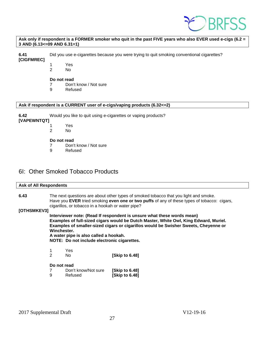

#### **Ask only if respondent is a FORMER smoker who quit in the past FIVE years who also EVER used e-cigs (6.2 = 3 AND (6.13<=09 AND 6.31=1)**

**6.41** Did you use e-cigarettes because you were trying to quit smoking conventional cigarettes?

**[CIGFMREC]**

- 1 Yes
- 2 No

#### **Do not read**

- 7 Don't know / Not sure
- 9 Refused

#### **Ask if respondent is a CURRENT user of e-cigs/vaping products (6.32<=2)**

**6.42** Would you like to quit using e-cigarettes or vaping products?

#### **[VAPEWNTQT]**

- 1 Yes<br>2 No
	- No.

#### **Do not read**

- 7 Don't know / Not sure
- 9 Refused

### <span id="page-26-0"></span>6I: Other Smoked Tobacco Products

|             | <b>Ask of All Respondents</b>                                                                                                                                                                                                                                                                                                                                |                                                   |                                                                                                                                                                                     |  |  |
|-------------|--------------------------------------------------------------------------------------------------------------------------------------------------------------------------------------------------------------------------------------------------------------------------------------------------------------------------------------------------------------|---------------------------------------------------|-------------------------------------------------------------------------------------------------------------------------------------------------------------------------------------|--|--|
| 6.43        |                                                                                                                                                                                                                                                                                                                                                              | cigarillos, or tobacco in a hookah or water pipe? | The next questions are about other types of smoked tobacco that you light and smoke.<br>Have you EVER tried smoking even one or two puffs of any of these types of tobacco: cigars, |  |  |
| [OTHSMKEV3] |                                                                                                                                                                                                                                                                                                                                                              |                                                   |                                                                                                                                                                                     |  |  |
|             | Interviewer note: (Read If respondent is unsure what these words mean)<br>Examples of full-sized cigars would be Dutch Master, White Owl, King Edward, Muriel.<br>Examples of smaller-sized cigars or cigarillos would be Swisher Sweets, Cheyenne or<br>Winchester.<br>A water pipe is also called a hookah.<br>NOTE: Do not include electronic cigarettes. |                                                   |                                                                                                                                                                                     |  |  |
|             |                                                                                                                                                                                                                                                                                                                                                              | Yes                                               |                                                                                                                                                                                     |  |  |
|             | 2                                                                                                                                                                                                                                                                                                                                                            | No.                                               | [Skip to 6.48]                                                                                                                                                                      |  |  |
|             |                                                                                                                                                                                                                                                                                                                                                              | Do not read                                       |                                                                                                                                                                                     |  |  |
|             |                                                                                                                                                                                                                                                                                                                                                              | Don't know/Not sure                               | [Skip to 6.48]                                                                                                                                                                      |  |  |
|             | 9                                                                                                                                                                                                                                                                                                                                                            | Refused                                           | [Skip to 6.48]                                                                                                                                                                      |  |  |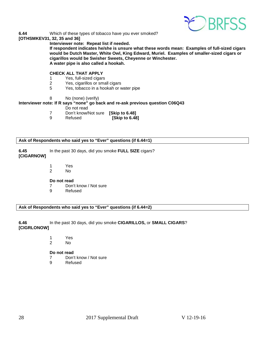

**6.44** Which of these types of tobacco have you ever smoked?

#### **[OTHSMKEV31, 32, 35 and 36]**

**Interviewer note: Repeat list if needed.** 

**If respondent indicates he/she is unsure what these words mean: Examples of full-sized cigars would be Dutch Master, White Owl, King Edward, Muriel. Examples of smaller-sized cigars or cigarillos would be Swisher Sweets, Cheyenne or Winchester. A water pipe is also called a hookah.**

#### **CHECK ALL THAT APPLY**

- 1 Yes, full-sized cigars
- 2 Yes, cigarillos or small cigars
- 5 Yes, tobacco in a hookah or water pipe
- 8 No (none) (verify)

#### **Interviewer note: If R says "none" go back and re-ask previous question C06Q43**

- Do not read
- 7 Don't know/Not sure **[Skip to 6.48]**
- **[Skip to 6.48]**

#### **Ask of Respondents who said yes to "Ever" questions (if 6.44=1)**

- **6.45** In the past 30 days, did you smoke **FULL SIZE** cigars? **[CIGARNOW]** 
	- 1 Yes
	- 2 No

#### **Do not read**

- 7 Don't know / Not sure
- 9 Refused

**Ask of Respondents who said yes to "Ever" questions (if 6.44=2)**

**6.46** In the past 30 days, did you smoke **CIGARILLOS,** or **SMALL CIGARS**? **[CIGRLONOW]**

- 1 Yes
- 2 No
- **Do not read**
- 7 Don't know / Not sure
- 9 Refused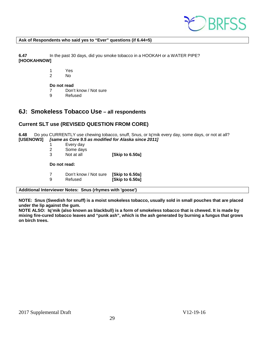

#### **Ask of Respondents who said yes to "Ever" questions (if 6.44=5)**

**6.47** In the past 30 days, did you smoke tobacco in a HOOKAH or a WATER PIPE? **[HOOKAHNOW]**

> 1 Yes N<sub>o</sub>

**Do not read**

7 Don't know / Not sure<br>9 Refused

**Refused** 

### <span id="page-28-0"></span>**6J: Smokeless Tobacco Use – all respondents**

#### **Current SLT use (REVISED QUESTION FROM CORE)**

**6.48** Do you CURRENTLY use chewing tobacco, snuff, Snus, or Iq'mik every day, some days, or not at all?<br>[USENOW3] *[same as Core 9.5 as modified for Alaska since 2011]* **[same as Core 9.5 as modified for Alaska since 2011]** 

- 1 Every day
- 
- 2 Some days<br>3 Not at all 3 Not at all **[Skip to 6.50a]**

**Do not read:**

7 Don't know / Not sure **[Skip to 6.50a] [Skip to 6.50a]** 

#### **Additional Interviewer Notes: Snus (rhymes with 'goose')**

**NOTE: Snus (Swedish for snuff) is a moist smokeless tobacco, usually sold in small pouches that are placed under the lip against the gum.** 

**NOTE ALSO: Iq'mik (also known as blackbull) is a form of smokeless tobacco that is chewed. It is made by mixing fire-cured tobacco leaves and "punk ash", which is the ash generated by burning a fungus that grows on birch trees.**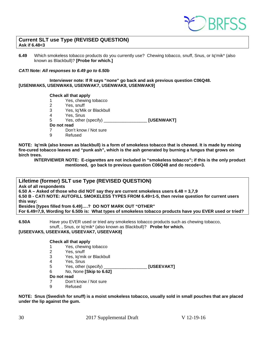

#### **Current SLT use Type (REVISED QUESTION) Ask if 6.48<3**

**6.49** Which smokeless tobacco products do you currently use? Chewing tobacco, snuff, Snus, or Iq'mik\* (also known as Blackbull)? **[Probe for which.]** 

#### *CATI Note: All responses to 6.49 go to 6.50b*

**Interviewer note: If R says "none" go back and ask previous question C06Q48. [USENWAK5, USENWAK6, USENWAK7, USENWAK8, USENWAK9]** 

#### **Check all that apply**

- 1 Yes, chewing tobacco<br>2 Yes, snuff
- Yes, snuff
- 3 Yes, Iq'Mik or Blackbull
- 4 Yes, Snus
- 5 Yes, other (specify) \_\_\_\_\_\_\_\_\_\_\_\_\_\_\_\_\_\_ **[USENWAKT]**

#### **Do not read**

- 7 Don't know / Not sure<br>9 Refused
	- **Refused**

**NOTE: Iq'mik (also known as blackbull) is a form of smokeless tobacco that is chewed. It is made by mixing fire-cured tobacco leaves and "punk ash", which is the ash generated by burning a fungus that grows on birch trees.**

**INTERVIEWER NOTE: E-cigarettes are not included in "smokeless tobacco"; if this is the only product mentioned, go back to previous question C06Q48 and do recode=3.**

**Lifetime (former) SLT use Type (REVISED QUESTION) Ask of all respondents 6.50 A – Asked of those who did NOT say they are current smokeless users 6.48 = 3,7,9 6.50 B - CATI NOTE: AUTOFILL SMOKELESS TYPES FROM 6.49=1-5, then revise question for current users this way: Besides [types filled from 6.49]….? DO NOT MARK OUT "OTHER" For 6.49=7,9, Wording for 6.50b is: What types of smokeless tobacco products have you EVER used or tried?**

**6.50A** Have you EVER used or tried any smokeless tobacco products such as chewing tobacco, snuff, , Snus, or Iq'mik\* (also known as Blackbull)? **Probe for which.**

#### **[USEEVAK5, USEEVAK6, USEEVAK7, USEEVAK8]**

#### **Check all that apply**

- 1 Yes, chewing tobacco<br>2 Yes, snuff
	-
- 2 Yes, snuff<br>3 Yes, la'mil 3 Yes, Iq'mik or Blackbull<br>4 Yes Snus
- Yes, Snus
- 5 Yes, other (specify) \_\_\_\_\_\_\_\_\_\_\_\_\_\_\_\_\_\_ **[USEEVAKT]**
- 6 No, None **[Skip to 6.62]**

#### **Do not read**

- 7 Don't know / Not sure
- 9 Refused

**NOTE: Snus (Swedish for snuff) is a moist smokeless tobacco, usually sold in small pouches that are placed under the lip against the gum.** 

30 2017 Supplemental Draft V 12-19-16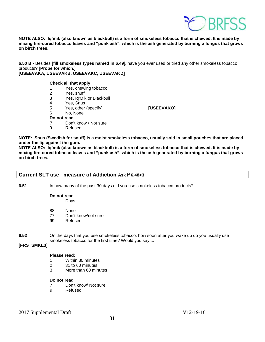

**NOTE ALSO: Iq'mik (also known as blackbull) is a form of smokeless tobacco that is chewed. It is made by mixing fire-cured tobacco leaves and "punk ash", which is the ash generated by burning a fungus that grows on birch trees.**

**6.50 B -** Besides **[fill smokeless types named in 6.49**], have you ever used or tried any other smokeless tobacco products? **[Probe for which.] [USEEVAKA, USEEVAKB, USEEVAKC, USEEVAKD]** 

| <b>Check all that apply</b> |  |  |  |
|-----------------------------|--|--|--|
|-----------------------------|--|--|--|

- 1 Yes, chewing tobacco<br>2 Yes, snuff
- Yes, snuff
- 3 Yes, Iq'Mik or Blackbull
- 4 Yes, Snus<br>5 Yes, other
- 5 Yes, other (specify) \_\_\_\_\_\_\_\_\_\_\_\_\_\_\_\_\_\_ **[USEEVAKO]**
- 6 No, None
- **Do not read**
- 7 Don't know / Not sure
- 9 Refused

**NOTE: Snus (Swedish for snuff) is a moist smokeless tobacco, usually sold in small pouches that are placed under the lip against the gum.** 

**NOTE ALSO: Iq'mik (also known as blackbull) is a form of smokeless tobacco that is chewed. It is made by mixing fire-cured tobacco leaves and "punk ash", which is the ash generated by burning a fungus that grows on birch trees.**

#### **Current SLT use –measure of Addiction Ask if 6.48<3**

**6.51** In how many of the past 30 days did you use smokeless tobacco products?

**Do not read**

 $\_\_\_\_\_$  Days

- 88 None
- 77 Don't know/not sure<br>99 Refused
- Refused
- **6.52** On the days that you use smokeless tobacco, how soon after you wake up do you usually use smokeless tobacco for the first time? Would you say ...

#### **[FRSTSMKL3]**

#### **Please read:**

- 1 Within 30 minutes
- 2 31 to 60 minutes<br>3 More than 60 min
- More than 60 minutes

#### **Do not read**

- 7 Don't know/ Not sure<br>9 Refused
- **Refused**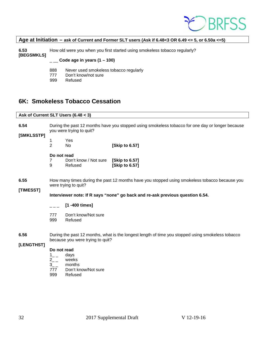

#### **Age at Initiation – ask of Current and Former SLT users (Ask if 6.48<3 OR 6.49 <= 5, or 6.50a <=5)**

**6.53** How old were you when you first started using smokeless tobacco regularly? **[BEGSMKLS]**

#### \_ \_\_ **Code age in years (1 – 100)**

- 888 Never used smokeless tobacco regularly
- 777 Don't know/not sure
- 999 Refused

### <span id="page-31-0"></span>**6K: Smokeless Tobacco Cessation**

#### **Ask of Current SLT Users (6.48 < 3)**

**6.54** During the past 12 months have you stopped using smokeless tobacco for one day or longer because you were trying to quit?

#### **[SMKLSSTP]**

| -1 | Yes |                |
|----|-----|----------------|
| 2  | N٥  | [Skip to 6.57] |

#### **Do not read**

7 Don't know / Not sure **[Skip to 6.57]** 9 Refused **[Skip to 6.57]** 

#### **6.55** How many times during the past 12 months have you stopped using smokeless tobacco because you were trying to quit?

#### **[TIMESST]**

**Interviewer note: If R says "none" go back and re-ask previous question 6.54.** 

- \_ \_ \_ **[1 -400 times]**
- 777 Don't know/Not sure
- 999 Refused

**6.56** During the past 12 months, what is the longest length of time you stopped using smokeless tobacco because you were trying to quit?

#### **[LENGTHST]**

#### **Do not read**

- $1_{--}$  days<br> $2_{--}$  week
- $2_{--}$  weeks<br>3 months
- months
- 777 Don't know/Not sure
- 999 Refused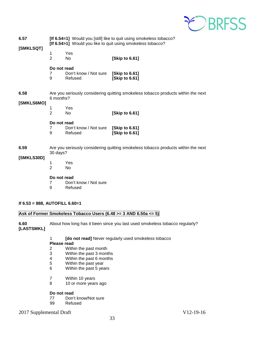

| 6.57<br>[SMKLSQT]                   | [If 6.54=1] Would you [still] like to quit using smokeless tobacco?<br>[If 6.54>1] Would you like to quit using smokeless tobacco?                                                                                                                                                                             |                                                 |                                                                                   |  |  |
|-------------------------------------|----------------------------------------------------------------------------------------------------------------------------------------------------------------------------------------------------------------------------------------------------------------------------------------------------------------|-------------------------------------------------|-----------------------------------------------------------------------------------|--|--|
|                                     | 1<br>$\overline{2}$                                                                                                                                                                                                                                                                                            | Yes<br>No                                       | [Skip to 6.61]                                                                    |  |  |
|                                     | Do not read<br>7<br>9                                                                                                                                                                                                                                                                                          | Don't know / Not sure<br>Refused                | [Skip to 6.61]<br>[Skip to 6.61]                                                  |  |  |
| 6.58                                | 6 months?                                                                                                                                                                                                                                                                                                      |                                                 | Are you seriously considering quitting smokeless tobacco products within the next |  |  |
| [SMKLS6MO]                          | 1<br>$\overline{2}$                                                                                                                                                                                                                                                                                            | Yes<br>No                                       | [Skip to 6.61]                                                                    |  |  |
|                                     | Do not read<br>7<br>9                                                                                                                                                                                                                                                                                          | Don't know / Not sure [Skip to 6.61]<br>Refused | [Skip to 6.61]                                                                    |  |  |
| 6.59<br>[SMKLS30D]                  | Are you seriously considering quitting smokeless tobacco products within the next<br>30 days?                                                                                                                                                                                                                  |                                                 |                                                                                   |  |  |
|                                     | 1<br>Yes<br>$\overline{2}$<br>No                                                                                                                                                                                                                                                                               |                                                 |                                                                                   |  |  |
|                                     | Do not read<br>Don't know / Not sure<br>7<br>Refused<br>9                                                                                                                                                                                                                                                      |                                                 |                                                                                   |  |  |
| If $6.53 = 888$ , AUTOFILL $6.60=1$ |                                                                                                                                                                                                                                                                                                                |                                                 |                                                                                   |  |  |
|                                     |                                                                                                                                                                                                                                                                                                                |                                                 | Ask of Former Smokeless Tobacco Users (6.48 >= 3 AND 6.50a <= 5)                  |  |  |
| 6.60<br>[LASTSMKL]                  |                                                                                                                                                                                                                                                                                                                |                                                 | About how long has it been since you last used smokeless tobacco regularly?       |  |  |
|                                     | [do not read] Never regularly used smokeless tobacco<br>1<br><b>Please read</b><br>$\overline{2}$<br>Within the past month<br>3<br>Within the past 3 months<br>Within the past 6 months<br>4<br>5<br>Within the past year<br>6<br>Within the past 5 years<br>7<br>Within 10 years<br>8<br>10 or more years ago |                                                 |                                                                                   |  |  |
|                                     | Do not read                                                                                                                                                                                                                                                                                                    |                                                 |                                                                                   |  |  |

- 77 Don't know/Not sure<br>99 Refused
- Refused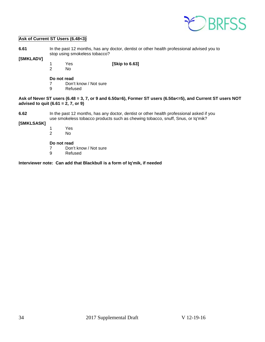

#### **Ask of Current ST Users (6.48<3)**

| 6.61 | In the past 12 months, has any doctor, dentist or other health professional advised you to |
|------|--------------------------------------------------------------------------------------------|
|      | stop using smokeless tobacco?                                                              |

#### **[SMKLADV]**

1 Yes **[Skip to 6.63]** 

No.

**Do not read**<br> **7** Don'

- 7 Don't know / Not sure<br>9 Refused
- **Refused**

#### **Ask of Never ST users (6.48 = 3, 7, or 9 and 6.50a=6), Former ST users (6.50a<=5), and Current ST users NOT advised to quit (6.61 = 2, 7, or 9)**

**6.62** In the past 12 months, has any doctor, dentist or other health professional asked if you use smokeless tobacco products such as chewing tobacco, snuff, Snus, or Iq'mik?

#### **[SMKLSASK]**

1 Yes No.

#### **Do not read**

- 7 Don't know / Not sure
- 9 Refused

#### **Interviewer note: Can add that Blackbull is a form of Iq'mik, if needed**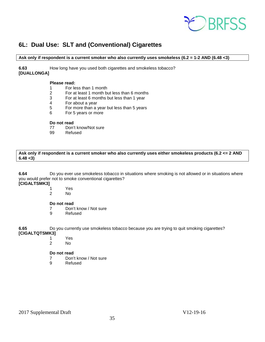

## <span id="page-34-0"></span>**6L: Dual Use: SLT and (Conventional) Cigarettes**

#### **Ask only if respondent is a current smoker who also currently uses smokeless (6.2 = 1-2 AND (6.48 <3)**

**6.63** How long have you used both cigarettes and smokeless tobacco? **[DUALLONGA]**

#### **Please read:**

- 1 For less than 1 month
- 2 For at least 1 month but less than 6 months
- 3 For at least 6 months but less than 1 year
- For about a year
- 5 For more than a year but less than 5 years
- 6 For 5 years or more

# **Do not read**<br>77 Don'

- 77 Don't know/Not sure<br>99 Refused
- Refused

**Ask only if respondent is a current smoker who also currently uses either smokeless products (6.2 <= 2 AND 6.48 <3)** 

**6.64** Do you ever use smokeless tobacco in situations where smoking is not allowed or in situations where you would prefer not to smoke conventional cigarettes?

# **[CIGALTSMK3]**

- 1 Yes 2 No
	-

#### **Do not read**

- 7 Don't know / Not sure
- 9 Refused

**6.65** Do you currently use smokeless tobacco because you are trying to quit smoking cigarettes? **[CIGALTQTSMK3]** 

- 1 Yes
- 2 No

#### **Do not read**

- 7 Don't know / Not sure<br>9 Refused
- **Refused**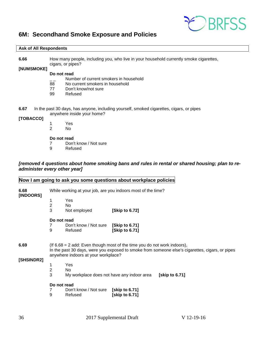

### <span id="page-35-0"></span>**6M: Secondhand Smoke Exposure and Policies**

#### **Ask of All Respondents**

**6.66** How many people, including you, who live in your household currently smoke cigarettes, cigars, or pipes?

**[NUMSMOKE]**

#### **Do not read**

- $\frac{1}{2}$  Number of current smokers in household<br>88 No current smokers in household
- No current smokers in household
- 77 Don't know/not sure<br>99 Refused
- Refused
- **6.67** In the past 30 days, has anyone, including yourself, smoked cigarettes, cigars, or pipes anywhere inside your home?

#### **[TOBACCO]**

- 1 Yes
- 2 No

#### **Do not read**

- 7 Don't know / Not sure
- 9 Refused

#### *[removed 4 questions about home smoking bans and rules in rental or shared housing; plan to readminister every other year]*

#### **Now I am going to ask you some questions about workplace policies**

| 6.68<br>[INDOORS]  | While working at your job, are you indoors most of the time?                                                                                                                                                         |                                            |                |                |  |
|--------------------|----------------------------------------------------------------------------------------------------------------------------------------------------------------------------------------------------------------------|--------------------------------------------|----------------|----------------|--|
|                    | 1<br>Yes                                                                                                                                                                                                             |                                            |                |                |  |
|                    | 2                                                                                                                                                                                                                    | No                                         |                |                |  |
|                    | 3                                                                                                                                                                                                                    | Not employed                               | [Skip to 6.72] |                |  |
|                    | Do not read                                                                                                                                                                                                          |                                            |                |                |  |
|                    |                                                                                                                                                                                                                      | Don't know / Not sure                      | [Skip to 6.71] |                |  |
|                    | 9                                                                                                                                                                                                                    | Refused                                    | [Skip to 6.71] |                |  |
| 6.69<br>[SHSINDR2] | (If $6.68 = 2$ add: Even though most of the time you do not work indoors),<br>In the past 30 days, were you exposed to smoke from someone else's cigarettes, cigars, or pipes<br>anywhere indoors at your workplace? |                                            |                |                |  |
|                    | 1                                                                                                                                                                                                                    | Yes                                        |                |                |  |
|                    | 2                                                                                                                                                                                                                    | No.                                        |                |                |  |
|                    | 3                                                                                                                                                                                                                    | My workplace does not have any indoor area |                | [skip to 6.71] |  |
|                    | Do not read                                                                                                                                                                                                          |                                            |                |                |  |
|                    |                                                                                                                                                                                                                      | Don't know / Not sure                      | [skip to 6.71] |                |  |
|                    | 9                                                                                                                                                                                                                    | Refused                                    | [skip to 6.71] |                |  |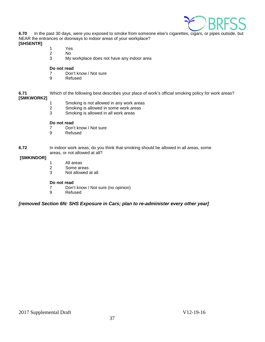

**6.70** In the past 30 days, were you exposed to smoke from someone else's cigarettes, cigars, or pipes outside, but NEAR the entrances or doorways to indoor areas of your workplace? **[SHSENTR]**

- 1 Yes
- 2 No
- 3 My workplace does not have any indoor area

#### **Do not read**

- 7 Don't know / Not sure<br>9 Refused
- **Refused**

**6.71** Which of the following best describes your place of work's official smoking policy for work areas? **[SMKWORK2]**

- 1 Smoking is not allowed in any work areas<br>2 Smoking is allowed in some work areas
- Smoking is allowed in some work areas
- 3 Smoking is allowed in all work areas

#### **Do not read**

- 7 Don't know / Not sure<br>9 Refused
- **Refused**
- **6.72** In indoor work areas, do you think that smoking should be allowed in all areas, some areas, or not allowed at all?

#### **[SMKINDOR]**

- 1 All areas<br>2 Some are
- Some areas
- 3 Not allowed at all

#### **Do not read**

- 7 Don't know / Not sure (no opinion)
- **Refused**

#### *[removed Section 6N: SHS Exposure in Cars; plan to re-administer every other year]*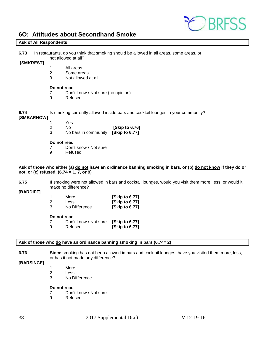

### <span id="page-37-0"></span>**6O: Attitudes about Secondhand Smoke**

#### **Ask of All Respondents**

**6.73** In restaurants, do you think that smoking should be allowed in all areas, some areas, or not allowed at all?

#### **[SMKREST]**

- 1 All areas
- 2 Some areas<br>3 Not allowed
- Not allowed at all

#### **Do not read**

- 7 Don't know / Not sure (no opinion)<br>9 Refused
	- **Refused**

**6.74** Is smoking currently allowed inside bars and cocktail lounges in your community?

#### **[SMBARNOW]**

- 
- 1 Yes<br>2 No **[Skip to 6.76]**
- 3 No bars in community **[Skip to 6.77]**

#### **Do not read**

- 7 Don't know / Not sure<br>9 Refused
- **Refused**

#### **Ask of those who either (a) do not have an ordinance banning smoking in bars, or (b) do not know if they do or not, or (c) refused. (6.74 = 1, 7, or 9)**

**6.75 If** smoking were not allowed in bars and cocktail lounges, would you visit them more, less, or would it make no difference?

#### **[BARDIFF]**

| 1 | More          | [Skip to 6.77] |
|---|---------------|----------------|
| 2 | Less          | [Skip to 6.77] |
| 3 | No Difference | [Skip to 6.77] |

#### **Do not read**

|   | Don't know / Not sure | [Skip to 6.77] |
|---|-----------------------|----------------|
| 9 | Refused               | [Skip to 6.77] |

#### **Ask of those who do have an ordinance banning smoking in bars (6.74= 2)**

**6.76 Since** smoking has not been allowed in bars and cocktail lounges, have you visited them more, less, or has it not made any difference?

#### **[BARSINCE]**

- 1 More
- 2 Less<br>3 No D
- No Difference

#### **Do not read**

- 7 Don't know / Not sure
- 9 Refused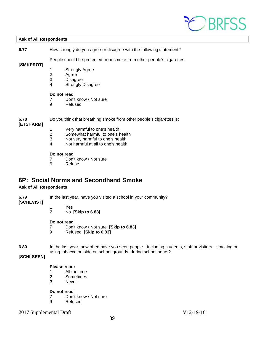

#### **Ask of All Respondents**

**6.77** How strongly do you agree or disagree with the following statement?

People should be protected from smoke from other people's cigarettes.

#### **[SMKPROT]**

- 1 Strongly Agree
- 2 Agree<br>3 Disagr
- **Disagree**
- 4 Strongly Disagree

#### **Do not read**

- 7 Don't know / Not sure<br>9 Refused
- **Refused**

**6.78** Do you think that breathing smoke from other people's cigarettes is:

#### **[ETSHARM]**

- 1 Very harmful to one's health<br>2 Somewhat harmful to one's h
- Somewhat harmful to one's health
- 3 Not very harmful to one's health
- 4 Not harmful at all to one's health

#### **Do not read**

- 7 Don't know / Not sure
- 9 Refuse

### <span id="page-38-0"></span>**6P: Social Norms and Secondhand Smoke**

#### **Ask of All Respondents**

**6.79** In the last year, have you visited a school in your community?

- **[SCHLVIST]**
	- 1 Yes
	- 2 No **[Skip to 6.83]**

#### **Do not read**

- 7 Don't know / Not sure **[Skip to 6.83]**
- 9 Refused **[Skip to 6.83]**

**6.80** In the last year, how often have you seen people—including students, staff or visitors—smoking or using tobacco outside on school grounds, during school hours?

### **[SCHLSEEN]**

#### **Please read:**

- 1 All the time
- 2 Sometimes
- 3 Never

#### **Do not read**

- 7 Don't know / Not sure<br>9 Refused
- **Refused**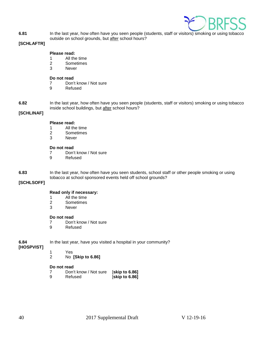

**6.81** In the last year, how often have you seen people (students, staff or visitors) smoking or using tobacco outside on school grounds, but after school hours?

#### **[SCHLAFTR]**

#### **Please read:**

- 1 All the time<br>2 Sometimes
- **Sometimes**
- 3 Never

#### **Do not read**

- 7 Don't know / Not sure
- 9 Refused

**6.82** In the last year, how often have you seen people (students, staff or visitors) smoking or using tobacco inside school buildings, but after school hours?

### **[SCHLINAF]**

#### **Please read:**

- 1 All the time<br>2 Sometimes
- 2 Sometimes<br>3 Never
- **Never**

#### **Do not read**

- 7 Don't know / Not sure
- 9 Refused

**6.83** In the last year, how often have you seen students, school staff or other people smoking or using tobacco at school sponsored events held off school grounds?

#### **[SCHLSOFF]**

#### **Read only if necessary:**

- 
- 1 All the time<br>2 Sometimes **Sometimes**
- 3 Never

#### **Do not read**

- 7 Don't know / Not sure<br>9 Refused
- **Refused**

#### **6.84** In the last year, have you visited a hospital in your community? **[HOSPVIST]**

- - 1 Yes 2 No **[Skip to 6.86]**

#### **Do not read**

- 7 Don't know / Not sure [**skip to 6.86]**
- 9 Refused [**skip to 6.86]**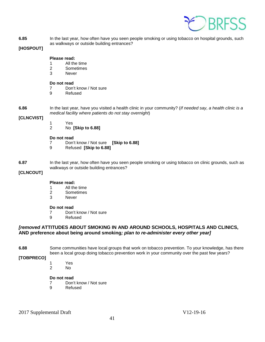

**6.85** In the last year, how often have you seen people smoking or using tobacco on hospital grounds, such as walkways or outside building entrances?

#### **[HOSPOUT]**

#### **Please read:**

- 1 All the time
- 2 Sometimes
- 3 Never

# **Do not read**<br>7 Don'

- 7 Don't know / Not sure<br>9 Refused
	- **Refused**

**6.86** In the last year, have you visited a health clinic in your community? (*If needed say, a health clinic is a medical facility where patients do not stay overnight*)

#### **[CLNCVIST]**

- 1 Yes
- 2 No **[Skip to 6.88]**

#### **Do not read**

- 7 Don't know / Not sure **[Skip to 6.88]**
- 9 Refused **[Skip to 6.88]**

**6.87** In the last year, how often have you seen people smoking or using tobacco on clinic grounds, such as walkways or outside building entrances?

#### **[CLNCOUT]**

#### **Please read:**

- 1 All the time<br>2 Sometimes
- 2 Sometimes<br>3 Never
- **Never**

#### **Do not read**

- 7 Don't know / Not sure
- 9 Refused

#### *[removed* **ATTITUDES ABOUT SMOKING IN AND AROUND SCHOOLS, HOSPITALS AND CLINICS, AND preference about being around smoking***; plan to re-administer every other year]*

**6.88** Some communities have local groups that work on tobacco prevention. To your knowledge, has there been a local group doing tobacco prevention work in your community over the past few years?

**[TOBPRECO]**

1 Yes

No.

#### **Do not read**

- 7 Don't know / Not sure<br>9 Refused
- **Refused**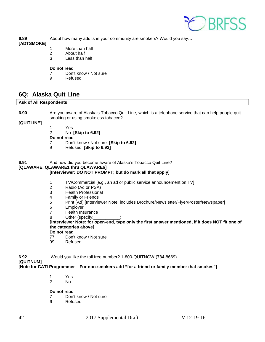

**6.89** About how many adults in your community are smokers? Would you say…

#### **[ADTSMOKE]**

- 1 More than half
- 2 About half
- 3 Less than half

#### **Do not read**

- 7 Don't know / Not sure<br>9 Refused
	- **Refused**

### <span id="page-41-0"></span>**6Q: Alaska Quit Line**

#### **Ask of All Respondents**

**6.90** Are you aware of Alaska's Tobacco Quit Line, which is a telephone service that can help people quit smoking or using smokeless tobacco?

#### **[QUITLINE]**

 1 Yes 2 No **[Skip to 6.92]** 

**Do not read**

- 7 Don't know / Not sure **[Skip to 6.92]**
- 9 Refused **[Skip to 6.92]**

**6.91** And how did you become aware of Alaska's Tobacco Quit Line?

### **[QLAWARE, QLAWARE1 thru QLAWARE6]**

#### **[Interviewer: DO NOT PROMPT; but do mark all that apply]**

- 1 TV/Commercial [e.g., an ad or public service announcement on TV]
- 2 Radio (Ad or PSA)<br>3 Health Professiona
- Health Professional
- 
- 4 Family or Friends<br>5 Print (Ad) Intervie 5 Print (Ad) [Interviewer Note: includes Brochure/Newsletter/Flyer/Poster/Newspaper]
- 6 Employer
- 7 Health Insurance
- 8 Other (specify:

### **[Interviewer Note: for open-end, type only the first answer mentioned, if it does NOT fit one of the categories above]**

**Do not read**

- 77 Don't know / Not sure
- 99 Refused

**6.92** Would you like the toll free number? 1-800-QUITNOW (784-8669)

#### **[QUITNUM]**

**[Note for CATI Programmer – For non-smokers add "for a friend or family member that smokes"]**

- 1 Yes
	- 2 No

#### **Do not read**

- 7 Don't know / Not sure
- 9 Refused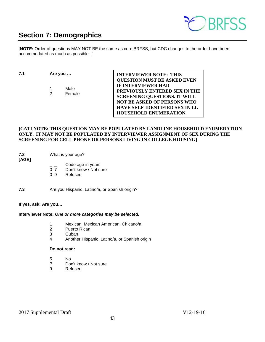

# <span id="page-42-0"></span>**Section 7: Demographics**

[**NOTE:** Order of questions MAY NOT BE the same as core BRFSS, but CDC changes to the order have been accommodated as much as possible.]

**7.1 Are you …** 

1 Male 2 Female **INTERVIEWER NOTE: THIS QUESTION MUST BE ASKED EVEN IF INTERVIEWER HAD PREVIOUSLY ENTERED SEX IN THE SCREENING QUESTIONS. IT WILL NOT BE ASKED OF PERSONS WHO HAVE SELF-IDENTIFIED SEX IN LL HOUSEHOLD ENUMERATION.**

#### **[CATI NOTE: THIS QUESTION MAY BE POPULATED BY LANDLINE HOUSEHOLD ENUMERATION ONLY. IT MAY NOT BE POPULATED BY INTERVIEWER ASSIGNMENT OF SEX DURING THE SCREENING FOR CELL PHONE OR PERSONS LIVING IN COLLEGE HOUSING]**

**7.2** What is your age?

**[AGE]** 

- $\frac{1}{0}$   $\frac{1}{7}$  Code age in years<br>0 7 Don't know / Not su
- Don't know / Not sure
- 0 9 Refused
- **7.3** Are you Hispanic, Latino/a, or Spanish origin?

#### **If yes, ask: Are you…**

#### **Interviewer Note:** *One or more categories may be selected.*

- 1 Mexican, Mexican American, Chicano/a
- 2 Puerto Rican
- 3 Cuban
- 4 Another Hispanic, Latino/a, or Spanish origin

#### **Do not read:**

- 5 No
- 7 Don't know / Not sure
- 9 Refused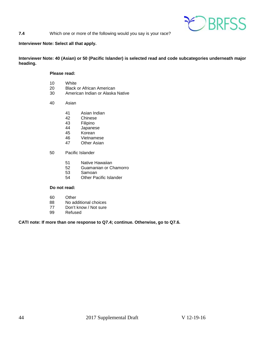

#### **7.4** Which one or more of the following would you say is your race?

#### **Interviewer Note: Select all that apply.**

#### **Interviewer Note: 40 (Asian) or 50 (Pacific Islander) is selected read and code subcategories underneath major heading.**

#### **Please read:**

- 10 White<br>20 Black
- 20 Black or African American<br>30 American Indian or Alaska
- American Indian or Alaska Native
- 40 Asian
	- 41 Asian Indian
	- 42 Chinese<br>43 Filipino
	- 43 Filipino<br>44 Japanes
	- 44 Japanese<br>45 Korean
	- 45 Korean<br>46 Vietnam
	- 46 Vietnamese<br>47 Other Asian
	- **Other Asian**
- 50 Pacific Islander
	- 51 Native Hawaiian<br>52 Guamanian or C
	- 52 Guamanian or Chamorro
	- 53 Samoan
	- 54 Other Pacific Islander

#### **Do not read:**

- 60 Other<br>88 No add
- 88 No additional choices<br>77 Don't know / Not sure
- 77 Don't know / Not sure<br>99 Refused
- **Refused**

#### **CATI note: If more than one response to Q7.4; continue. Otherwise, go to Q7.6.**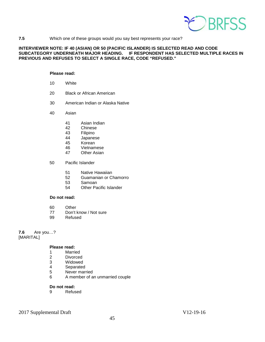

#### **7.5** Which one of these groups would you say best represents your race?

#### **INTERVIEWER NOTE: IF 40 (ASIAN) OR 50 (PACIFIC ISLANDER) IS SELECTED READ AND CODE SUBCATEGORY UNDERNEATH MAJOR HEADING. IF RESPONDENT HAS SELECTED MULTIPLE RACES IN PREVIOUS AND REFUSES TO SELECT A SINGLE RACE, CODE "REFUSED."**

#### **Please read:**

- 10 White
- 20 Black or African American
- 30 American Indian or Alaska Native
- 40 Asian
	- 41 Asian Indian<br>42 Chinese
	- 42 Chinese<br>43 Filipino
	- 43 Filipino<br>44 Japanes
	- 44 Japanese<br>45 Korean
	- 45 Korean<br>46 Vietnam
	- 46 Vietnamese<br>47 Other Asian
	- **Other Asian**
- 50 Pacific Islander
	- 51 Native Hawaiian
	- 52 Guamanian or Chamorro<br>53 Samoan
	- 53 Samoan<br>54 Other Pa
	- **Other Pacific Islander**

#### **Do not read:**

- 60 Other
- 77 Don't know / Not sure
- 99 Refused

**7.6** Are you…? [MARITAL]

#### **Please read:**

- 
- 1 Married<br>2 Divorced **Divorced**
- 
- 3 Widowed<br>4 Separated
- 4 Separated<br>5 Never mari Never married
- 6 A member of an unmarried couple

#### **Do not read:**

9 Refused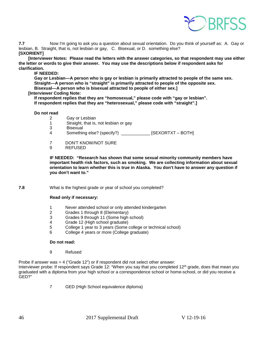

**7.7** Now I'm going to ask you a question about sexual orientation. Do you think of yourself as: A. Gay or lesbian, B. Straight, that is, not lesbian or gay, C. Bisexual, or D. something else? **[SXORIENT]** 

 **[Interviewer Notes: Please read the letters with the answer categories, so that respondent may use either the letter or words to give their answer. You may use the descriptions below if respondent asks for clarification.**

#### **IF NEEDED:**

**Gay or Lesbian—A person who is gay or lesbian is primarily attracted to people of the same sex. Straight—A person who is "straight" is primarily attracted to people of the opposite sex. Bisexual—A person who is bisexual attracted to people of either sex.]**

#### **[Interviewer Coding Note:**

**If respondent replies that they are "homosexual," please code with "gay or lesbian". If respondent replies that they are "heterosexual," please code with "straight".]** 

#### **Do not read**

- 2 Gay or Lesbian
- 1 Straight, that is, not lesbian or gay
- 3 Bisexual<br>4 Somethin
- Something else? (specify?) \_\_\_\_\_\_\_\_\_\_\_\_\_ [SEXORTXT BOTH]
- 7 DON'T KNOW/NOT SURE
- 9 REFUSED

**IF NEEDED: "Research has shown that some sexual minority community members have important health risk factors, such as smoking. We are collecting information about sexual orientation to learn whether this is true in Alaska. You don't have to answer any question if you don't want to."** 

**7.8** What is the highest grade or year of school you completed?

#### **Read only if necessary:**

- 1 Never attended school or only attended kindergarten
- 2 Grades 1 through 8 (Elementary)
- 3 Grades 9 through 11 (Some high school)
- 4 Grade 12 (High school graduate)
- 5 College 1 year to 3 years (Some college or technical school)
- 6 College 4 years or more (College graduate)

#### **Do not read:**

9 Refused

Probe if answer was  $= 4$  ("Grade 12") or if respondent did not select other answer:

Interviewer probe: If respondent says Grade 12: "When you say that you completed 12th grade, does that mean you graduated with a diploma from your high school or a correspondence school or home-school, or did you receive a GED?"

7 GED (High School equivalence diploma)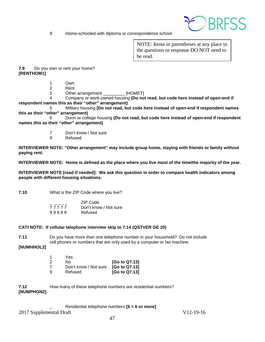

8 Home-schooled with diploma or correspondence school

NOTE: Items in parentheses at any place in the questions or response DO NOT need to be read.

**7.9** Do you own or rent your home? **[RENTHOM1]**

- 1 Own
- 2 Rent<br>3 Other
	- Other arrangement \_\_\_\_\_\_\_\_\_ [HOMET]

4 Company or work-owned housing **(Do not read, but code here instead of open-end if respondent names this as their "other" arrangement)**

5 Military housing **(Do not read, but code here instead of open-end if respondent names this as their "other" arrangement)**

6 Dorm or college housing **(Do not read, but code here instead of open-end if respondent names this as their "other" arrangement)**

- 7 Don't know / Not sure<br>9 Refused
- **Refused**

**INTERVIEWER NOTE: "Other arrangement" may include group home, staying with friends or family without paying rent.**

**INTERVIEWER NOTE: Home is defined as the place where you live most of the time/the majority of the year.** 

**INTERVIEWER NOTE [read if needed]: We ask this question in order to compare health indicators among people with different housing situations.**

**7.10** What is the ZIP Code where you live?

|       | ZIP Code              |
|-------|-----------------------|
| 77777 | Don't know / Not sure |
| 99999 | Refused               |

#### **CATI NOTE: If cellular telephone interview skip to 7.14 (QSTVER GE 20)**

**7.11** Do you have more than one telephone number in your household? Do not include cell phones or numbers that are only used by a computer or fax machine.

**[NUMHHOL2]**

| 1 | Yes                   |               |
|---|-----------------------|---------------|
| 2 | N٥                    | [Go to Q7.13] |
| 7 | Don't know / Not sure | [Go to Q7.13] |
| 9 | Refused               | [Go to Q7.13] |

**7.12** How many of these telephone numbers are residential numbers? **[NUMPHON2]**

#### \_ Residential telephone numbers **[6 = 6 or more]**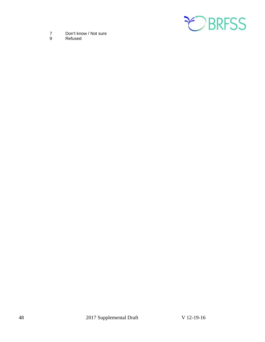

- 7 Don't know / Not sure<br>9 Refused
- **Refused**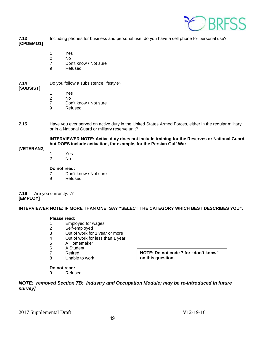

**7.13** Including phones for business and personal use, do you have a cell phone for personal use? **[CPDEMO1]**

- 1 Yes
- 2 No<br>7 Dor
- Don't know / Not sure
- 9 Refused

#### **7.14** Do you follow a subsistence lifestyle?

#### **[SUBSIST]**

- 1 Yes
- 2 No
- 7 Don't know / Not sure<br>9 Refused
- **Refused**
- **7.15** Have you ever served on active duty in the United States Armed Forces, either in the regular military or in a National Guard or military reserve unit?

**INTERVIEWER NOTE: Active duty does not include training for the Reserves or National Guard, but DOES include activation, for example, for the Persian Gulf War**.

#### **[VETERAN2]**

- 1 Yes
- 2 No

#### **Do not read:**

- 7 Don't know / Not sure
- 9 Refused

**7.16** Are you currently…? **[EMPLOY]** 

**INTERVIEWER NOTE: IF MORE THAN ONE: SAY "SELECT THE CATEGORY WHICH BEST DESCRIBES YOU".**

#### **Please read:**

- 1 Employed for wages<br>2 Self-employed
- Self-employed
- 3 Out of work for 1 year or more
- 4 Out of work for less than 1 year<br>5 A Homemaker
- 5 A Homemaker
- 6 A Student
- 7 Retired<br>8 Unable:
- Unable to work

**NOTE: Do not code 7 for "don't know" on this question.** 

#### **Do not read:**

9 Refused

*NOTE: removed Section 7B: Industry and Occupation Module; may be re-introduced in future survey]*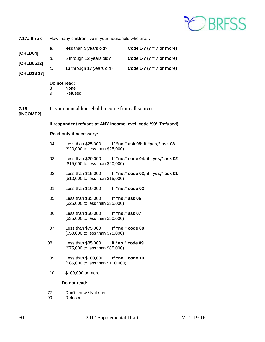

| 7.17a thru c      | How many children live in your household who are               |                                                                                           |                                    |
|-------------------|----------------------------------------------------------------|-------------------------------------------------------------------------------------------|------------------------------------|
| [CHLD04]          | a.                                                             | less than 5 years old?                                                                    | Code 1-7 ( $7 = 7$ or more)        |
| [CHLD0512]        | b.                                                             | 5 through 12 years old?                                                                   | Code 1-7 ( $7 = 7$ or more)        |
| [CHLD13 17]       | с.                                                             | 13 through 17 years old?                                                                  | Code 1-7 ( $7 = 7$ or more)        |
|                   | 8<br>9                                                         | Do not read:<br>None<br>Refused                                                           |                                    |
| 7.18<br>[INCOME2] | Is your annual household income from all sources-              |                                                                                           |                                    |
|                   | If respondent refuses at ANY income level, code '99' (Refused) |                                                                                           |                                    |
|                   | Read only if necessary:                                        |                                                                                           |                                    |
|                   | 04                                                             | Less than \$25,000 If "no," ask 05; if "yes," ask 03<br>(\$20,000 to less than \$25,000)  |                                    |
|                   | 03                                                             | Less than \$20,000<br>(\$15,000 to less than \$20,000)                                    | If "no," code 04; if "yes," ask 02 |
|                   | 02                                                             | Less than \$15,000 If "no," code 03; if "yes," ask 01<br>(\$10,000 to less than \$15,000) |                                    |
|                   | 01                                                             | Less than $$10,000$                                                                       | If "no," code 02                   |
|                   | 05                                                             | Less than \$35,000<br>(\$25,000 to less than \$35,000)                                    | If "no," ask 06                    |
|                   | 06                                                             | Less than \$50,000<br>(\$35,000 to less than \$50,000)                                    | If "no," ask 07                    |
|                   | 07                                                             | Less than \$75,000 If "no," code 08<br>(\$50,000 to less than \$75,000)                   |                                    |
|                   | 08                                                             | Less than \$85,000<br>(\$75,000 to less than \$85,000)                                    | If "no," code 09                   |
|                   | 09                                                             | Less than \$100,000<br>(\$85,000 to less than \$100,000)                                  | If "no," code 10                   |
|                   | 10                                                             | \$100,000 or more                                                                         |                                    |
|                   | Do not read:                                                   |                                                                                           |                                    |
|                   | 77                                                             | Don't know / Not sure                                                                     |                                    |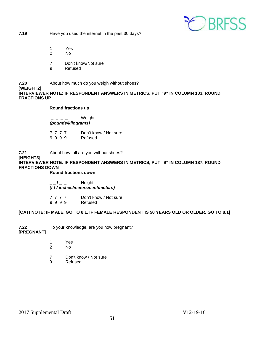

**7.19** Have you used the internet in the past 30 days?

- 1 Yes
- 2 No
- 7 Don't know/Not sure
- 9 Refused

#### **7.20** About how much do you weigh without shoes? **[WEIGHT2] INTERVIEWER NOTE: IF RESPONDENT ANSWERS IN METRICS, PUT "9" IN COLUMN 183. ROUND FRACTIONS UP**

#### **Round fractions up**

 **\_ \_ \_ \_** Weight *(pounds/kilograms)*

7 7 7 7 Don't know / Not sure<br>9 9 9 9 Refused 9 9 9 9

**7.21** About how tall are you without shoes? **[HEIGHT3] INTERVIEWER NOTE: IF RESPONDENT ANSWERS IN METRICS, PUT "9" IN COLUMN 187. ROUND FRACTIONS DOWN**

**Round fractions down**

**\_ \_ / \_ \_** Height *(f t / inches/meters/centimeters)*

7 7 7 7 Don't know / Not sure<br>9 9 9 9 Refused

9 9 9 9

#### **[CATI NOTE: IF MALE, GO TO 8.1, IF FEMALE RESPONDENT IS 50 YEARS OLD OR OLDER, GO TO 8.1]**

**7.22** To your knowledge, are you now pregnant?

#### **[PREGNANT]**

- 1 Yes<br>2 No
- No.
- 7 Don't know / Not sure
- 9 Refused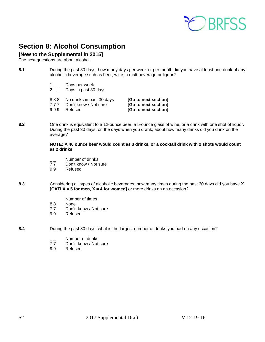

# <span id="page-51-0"></span>**Section 8: Alcohol Consumption**

### **[New to the Supplemental in 2015]**

The next questions are about alcohol.

**8.1** During the past 30 days, how many days per week or per month did you have at least one drink of any alcoholic beverage such as beer, wine, a malt beverage or liquor?

- $1_{--}$  Days per week
- $2 \quad \_$  Days in past 30 days
- 
- 
- 777 Don't know / Not sure<br>999 Refused

8 8 8 No drinks in past 30 days **[Go to next section]**<br>7 7 7 Don't know / Not sure **[Go to next section]** [Go to next section]

**8.2** One drink is equivalent to a 12-ounce beer, a 5-ounce glass of wine, or a drink with one shot of liquor. During the past 30 days, on the days when you drank, about how many drinks did you drink on the average?

> **NOTE: A 40 ounce beer would count as 3 drinks, or a cocktail drink with 2 shots would count as 2 drinks.**

- $\frac{1}{7}$  Number of drinks<br>77 Don't know / Not s
- 77 Don't know / Not sure<br>99 Refused
- **Refused**
- **8.3** Considering all types of alcoholic beverages, how many times during the past 30 days did you have **X [CATI X = 5 for men, X = 4 for women]** or more drinks on an occasion?
	- $\frac{1}{88}$  Number of times
	- 88 None<br>77 Don't
	- Don't know / Not sure
	- 9 9 Refused

**8.4** During the past 30 days, what is the largest number of drinks you had on any occasion?

- $\frac{1}{7}$  Number of drinks
- Don't know / Not sure
- 9 9 Refused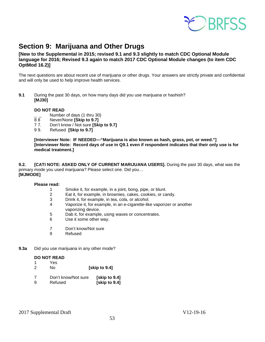

# <span id="page-52-0"></span>**Section 9: Marijuana and Other Drugs**

#### **[New to the Supplemental in 2015; revised 9.1 and 9.3 slightly to match CDC Optional Module language for 2016; Revised 9.3 again to match 2017 CDC Optional Module changes (to item CDC OptMod 16.2)]**

The next questions are about recent use of marijuana or other drugs. Your answers are strictly private and confidential and will only be used to help improve health services.

**9.1** During the past 30 days, on how many days did you use marijuana or hashish? **[MJ30]**

#### **DO NOT READ**

- $\frac{1}{8}$  Number of days (1 thru 30)<br>88 Never/None **Skip to 9.71**
- 8 8 Never/None **[Skip to 9.7]**<br>7 7. Don't know / Not sure **[Ski**
- 7 7. Don't know / Not sure **[Skip to 9.7]**
- 9 9. Refused **[Skip to 9.7]**

**[Interviewer Note: IF NEEDED—"Marijuana is also known as hash, grass, pot, or weed."] [Interviewer Note: Record days of use in Q9.1 even if respondent indicates that their only use is for medical treatment.]**

**9.2. [CATI NOTE: ASKED ONLY OF CURRENT MARIJUANA USERS].** During the past 30 days, what was the primary mode you used marijuana? Please select one. Did you… **[MJMODE]**

#### **Please read:**

- 1 Smoke it, for example, in a joint, bong, pipe, or blunt.<br>2 Eat it, for example, in brownies, cakes, cookies, or ca
- Eat it, for example, in brownies, cakes, cookies, or candy.
- 3 Drink it, for example, in tea, cola, or alcohol.
- 4 Vaporize it, for example, in an e-cigarette-like vaporizer or another vaporizing device.<br>5 Dab it. for example
- Dab it, for example, using waxes or concentrates.
- 6 Use it some other way.
- 7 Don't know/Not sure
- 9 Refused
- **9.3a** Did you use marijuana in any other mode?

#### **DO NOT READ**

- 1 Yes<br>2 No 2 No **[skip to 9.4]**
- 
- 7 Don't know/Not sure **[skip to 9.4] [skip to 9.4]**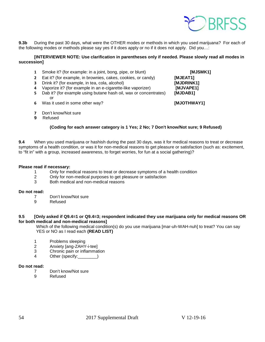

**9.3b** During the past 30 days, what were the OTHER modes or methods in which you used marijuana? For each of the following modes or methods please say yes if it does apply or no if it does not apply. Did you…:

**[INTERVIEWER NOTE: Use clarification in parentheses only if needed. Please slowly read all modes in succession]** 

- **1** Smoke it? (for example: in a joint, bong, pipe, or blunt) **[MJSMK1] 2** Eat it? (for example, in brownies, cakes, cookies, or candy) **[MJEAT1] 3** Drink it? (for example, in tea, cola, alcohol) **[MJDRINK1]**<br>**4** Vaporize it? (for example in an e-cigarette-like vaporizer) [MJVAPE1] **4** Vaporize it? (for example in an e-cigarette-like vaporizer) **5** Dab it? (for example using butane hash oil, wax or concentrates) **[MJDAB1]** or **6** Was it used in some other way? **[MJOTHWAY1]** 
	- **7** Don't know/Not sure
	- **9** Refused

#### **(Coding for each answer category is 1 Yes; 2 No; 7 Don't know/Not sure; 9 Refused)**

**9.4** When you used marijuana or hashish during the past 30 days, was it for medical reasons to treat or decrease symptoms of a health condition, or was it for non-medical reasons to get pleasure or satisfaction (such as: excitement, to "fit in" with a group, increased awareness, to forget worries, for fun at a social gathering)?

#### **Please read if necessary:**

- 1 Only for medical reasons to treat or decrease symptoms of a health condition
- 2 Only for non-medical purposes to get pleasure or satisfaction
- 3 Both medical and non-medical reasons

#### **Do not read:**

- 7 Don't know/Not sure<br>9 Refused
- **Refused**

#### **9.5 [Only asked if Q9.4=1 or Q9.4=3; respondent indicated they use marijuana only for medical reasons OR for both medical and non-medical reasons]**

Which of the following medical condition(s) do you use marijuana [mar-uh-WAH-nuh] to treat? You can say YES or NO as I read each **(READ LIST)**

- 1 Problems sleeping<br>2 Anxiety Jang-ZAHY
- 2 Anxiety [ang-ZAHY-i-tee]
- 3 Chronic pain or inflammation
- 4 Other (specify:\_\_\_\_\_\_\_\_)

#### **Do not read:**

- 7 Don't know/Not sure<br>9 Refused
- **Refused**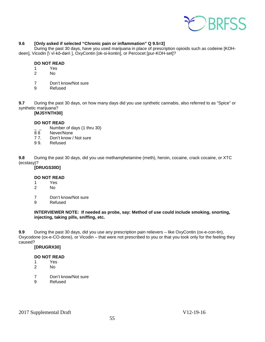

#### **9.6 [Only asked if selected "Chronic pain or inflammation" Q 9.5=3]**

During the past 30 days, have you used marijuana in place of prescription opioids such as codeine [KOHdeen], Vicodin [\ˈvī-kō-dən\ ], OxyContin [ok-si-kontin], or Percocet [pur-KOH-set]?

#### **DO NOT READ**

- 1 Yes
- 2 No
- 7 Don't know/Not sure
- 9 Refused

**9.7** During the past 30 days, on how many days did you use synthetic cannabis, also referred to as "Spice" or synthetic marijuana?

#### **[MJSYNTH30]**

#### **DO NOT READ**

- $\frac{1}{2}$  Number of days (1 thru 30)<br>88 Never/None
- 88 Never/None<br>77. Don't know /
- 77. Don't know / Not sure<br>99. Refused
- **Refused**

**9.8** During the past 30 days, did you use methamphetamine (meth), heroin, cocaine, crack cocaine, or XTC (ecstasy)?

#### **[DRUGS30D]**

# **DO NOT READ**<br>1 Yes

- 1 Yes<br>2 No
- No.
- 7 Don't know/Not sure<br>9 Refused
- **Refused**

#### **INTERVIEWER NOTE: If needed as probe, say: Method of use could include smoking, snorting, injecting, taking pills, sniffing, etc.**

**9.9** During the past 30 days, did you use any prescription pain relievers – like OxyContin (ox-e-con-tin), Oxycodone (ox-e-CO-done), or Vicodin – that were not prescribed to you or that you took only for the feeling they caused?

55

**[DRUGRX30]** 

#### **DO NOT READ**

- 1 Yes
- 2 No
- 7 Don't know/Not sure
- 9 Refused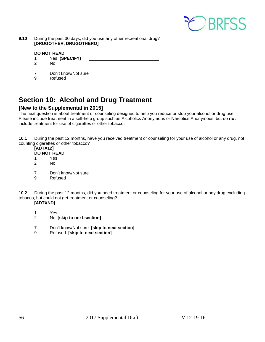

**9.10** During the past 30 days, did you use any other recreational drug? **[DRUGOTHER, DRUGOTHERO]** 

#### **DO NOT READ**

- 1 Yes **(SPECIFY)**
- $N<sub>0</sub>$
- 7 Don't know/Not sure<br>9 Refused
- **Refused**

# <span id="page-55-0"></span>**Section 10: Alcohol and Drug Treatment**

### **[New to the Supplemental in 2015]**

The next question is about treatment or counseling designed to help you reduce or stop your alcohol or drug use. Please include treatment in a self-help group such as Alcoholics Anonymous or Narcotics Anonymous, but do **not**  include treatment for use of cigarettes or other tobacco.

**10.1** During the past 12 months, have you received treatment or counseling for your use of alcohol or any drug, not counting cigarettes or other tobacco?

### **[ADTX12]**

- **DO NOT READ**
- 1 Yes 2 No
- 
- 7 Don't know/Not sure<br>9 Refused
- **Refused**

**10.2** During the past 12 months, did you need treatment or counseling for your use of alcohol or any drug excluding tobacco, but could not get treatment or counseling? **[ADTXND]**

- 1 Yes
- 2 No **[skip to next section]**
- 7 Don't know/Not sure **[skip to next section]**
- 9 Refused **[skip to next section]**